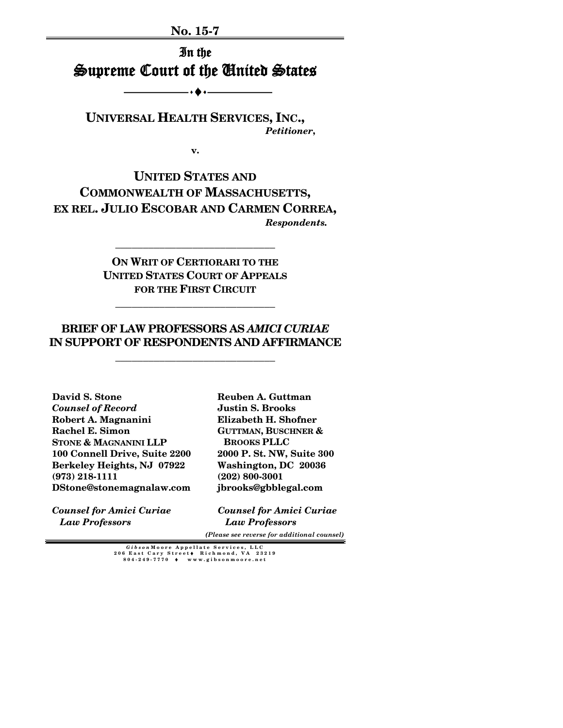**No. 15-7**

In the Supreme Court of the United States

 $\ddotsc$ 

**UNIVERSAL HEALTH SERVICES, INC.,** *Petitioner***,**

**v.**

**UNITED STATES AND COMMONWEALTH OF MASSACHUSETTS, EX REL. JULIO ESCOBAR AND CARMEN CORREA,** *Respondents.*

> **ON WRIT OF CERTIORARI TO THE UNITED STATES COURT OF APPEALS FOR THE FIRST CIRCUIT**

**\_\_\_\_\_\_\_\_\_\_\_\_\_\_\_\_\_\_\_\_\_\_\_\_\_\_\_\_\_**

**\_\_\_\_\_\_\_\_\_\_\_\_\_\_\_\_\_\_\_\_\_\_\_\_\_\_\_\_\_**

## **BRIEF OF LAW PROFESSORS AS** *AMICI CURIAE* **IN SUPPORT OF RESPONDENTS AND AFFIRMANCE**

**\_\_\_\_\_\_\_\_\_\_\_\_\_\_\_\_\_\_\_\_\_\_\_\_\_\_\_\_\_**

**David S. Stone**  *Counsel of Record*  **Robert A. Magnanini Rachel E. Simon STONE & MAGNANINI LLP 100 Connell Drive, Suite 2200 Berkeley Heights, NJ 07922 (973) 218-1111 DStone@stonemagnalaw.com**

*Counsel for Amici Curiae Law Professors* 

**Reuben A. Guttman Justin S. Brooks Elizabeth H. Shofner GUTTMAN, BUSCHNER & BROOKS PLLC 2000 P. St. NW, Suite 300 Washington, DC 20036 (202) 800-3001 jbrooks@gbblegal.com**

*Counsel for Amici Curiae Law Professors*

 *(Please see reverse for additional counsel)*

*Gibson* **Moore Appellate Services, LLC 206 East Cary Street** ♦ **Richmond, VA 23219 804 - 249 - 7770** ♦ **www.gibsonmoore.net**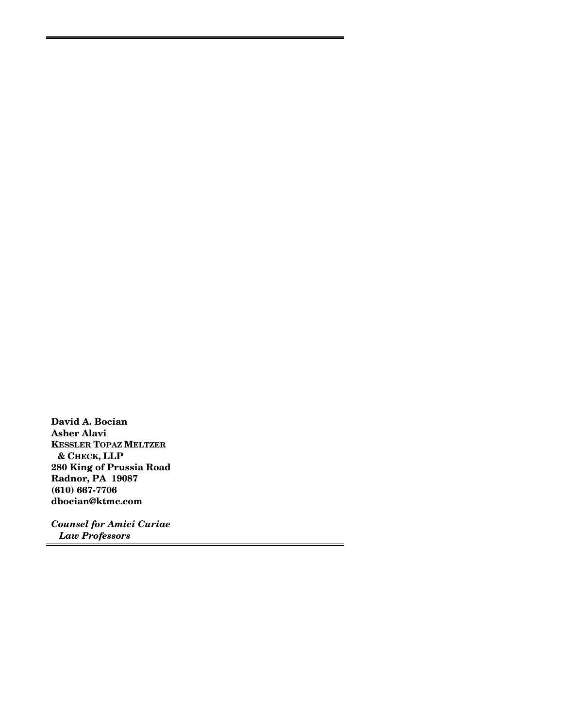**David A. Bocian Asher Alavi KESSLER TOPAZ MELTZER & CHECK, LLP 280 King of Prussia Road Radnor, PA 19087 (610) 667-7706 dbocian@ktmc.com**

*Counsel for Amici Curiae Law Professors*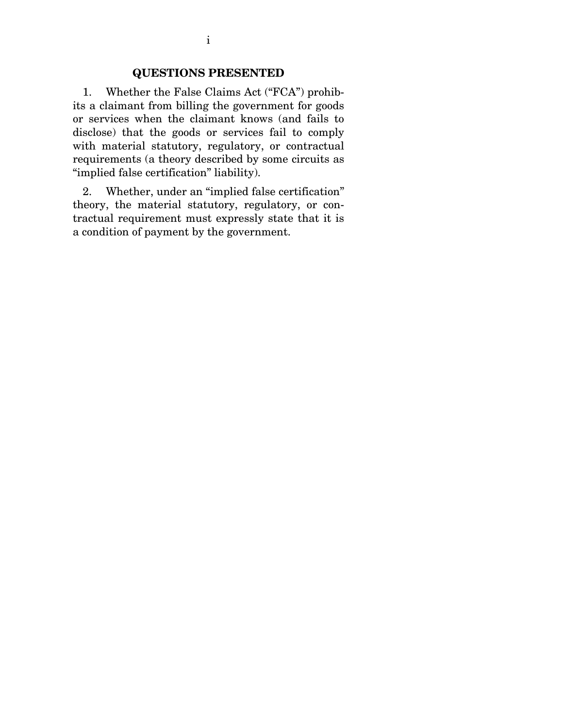### **QUESTIONS PRESENTED**

1. Whether the False Claims Act ("FCA") prohibits a claimant from billing the government for goods or services when the claimant knows (and fails to disclose) that the goods or services fail to comply with material statutory, regulatory, or contractual requirements (a theory described by some circuits as "implied false certification" liability).

2. Whether, under an "implied false certification" theory, the material statutory, regulatory, or contractual requirement must expressly state that it is a condition of payment by the government.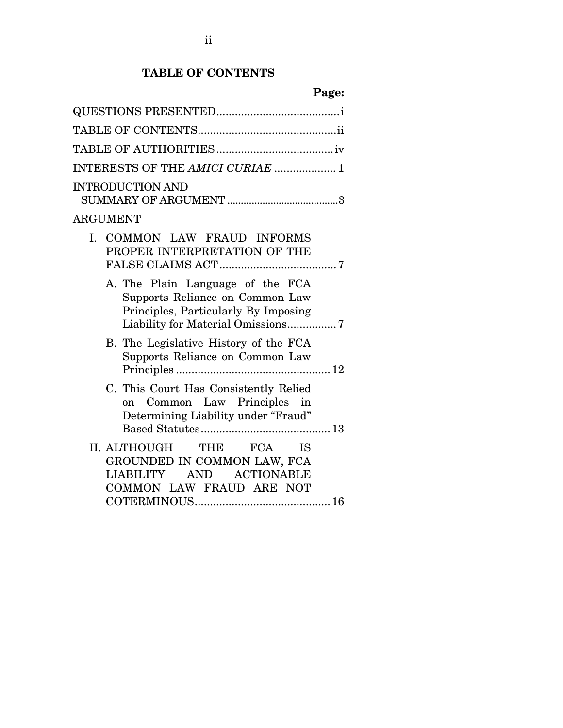# **TABLE OF CONTENTS**

| Page:                                                                                                                                            |
|--------------------------------------------------------------------------------------------------------------------------------------------------|
|                                                                                                                                                  |
|                                                                                                                                                  |
|                                                                                                                                                  |
| INTERESTS OF THE AMICI CURIAE  1                                                                                                                 |
| <b>INTRODUCTION AND</b>                                                                                                                          |
| ${\rm ARGUMENT}$                                                                                                                                 |
| I. COMMON LAW FRAUD INFORMS<br>PROPER INTERPRETATION OF THE                                                                                      |
| A. The Plain Language of the FCA<br>Supports Reliance on Common Law<br>Principles, Particularly By Imposing<br>Liability for Material Omissions7 |
| B. The Legislative History of the FCA<br>Supports Reliance on Common Law                                                                         |
| C. This Court Has Consistently Relied<br>on Common Law Principles in<br>Determining Liability under "Fraud"                                      |
| II. ALTHOUGH<br>THE FCA IS<br>GROUNDED IN COMMON LAW, FCA<br>LIABILITY AND ACTIONABLE<br>COMMON LAW FRAUD ARE NOT                                |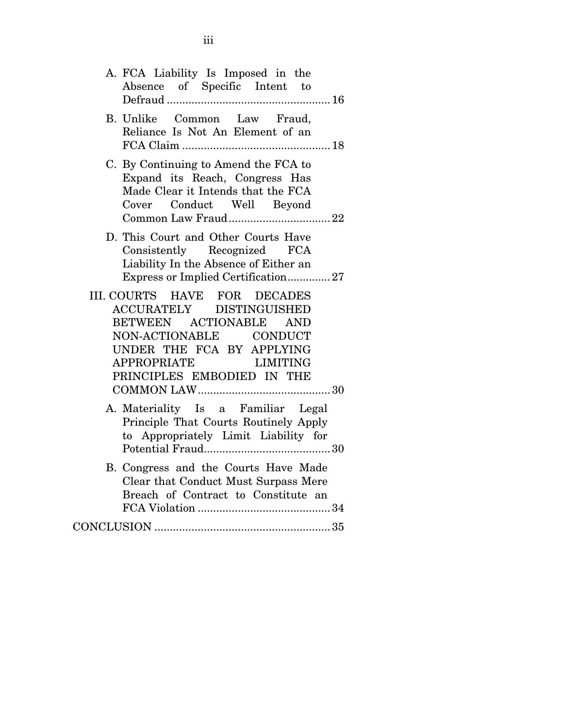| A. FCA Liability Is Imposed in the<br>Absence of Specific Intent to                                                                                                                             |
|-------------------------------------------------------------------------------------------------------------------------------------------------------------------------------------------------|
| B. Unlike Common Law Fraud,<br>Reliance Is Not An Element of an                                                                                                                                 |
| C. By Continuing to Amend the FCA to<br>Expand its Reach, Congress Has<br>Made Clear it Intends that the FCA<br>Cover Conduct Well Beyond                                                       |
| D. This Court and Other Courts Have<br>Consistently Recognized FCA<br>Liability In the Absence of Either an<br>Express or Implied Certification27                                               |
| III. COURTS HAVE FOR DECADES<br>ACCURATELY DISTINGUISHED<br>BETWEEN ACTIONABLE AND<br>NON-ACTIONABLE CONDUCT<br>UNDER THE FCA BY APPLYING<br>APPROPRIATE LIMITING<br>PRINCIPLES EMBODIED IN THE |
| A. Materiality Is a Familiar Legal<br>Principle That Courts Routinely Apply<br>to Appropriately Limit Liability for                                                                             |
| B. Congress and the Courts Have Made<br>Clear that Conduct Must Surpass Mere<br>Breach of Contract to Constitute an                                                                             |
|                                                                                                                                                                                                 |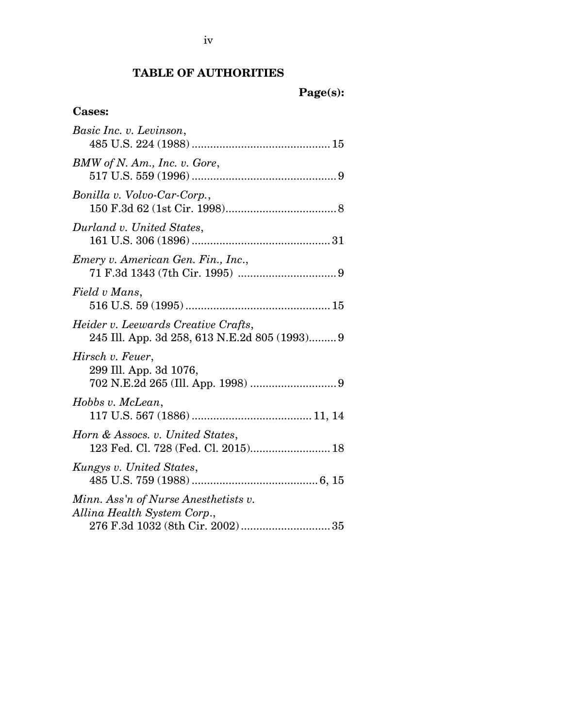# **TABLE OF AUTHORITIES**

# **Page(s):**

# **Cases:**

| Basic Inc. v. Levinson,                                                              |
|--------------------------------------------------------------------------------------|
| BMW of N. Am., Inc. v. Gore,                                                         |
| Bonilla v. Volvo-Car-Corp.,                                                          |
| Durland v. United States,                                                            |
| Emery v. American Gen. Fin., Inc.,                                                   |
| Field v Mans,                                                                        |
| Heider v. Leewards Creative Crafts,<br>245 Ill. App. 3d 258, 613 N.E.2d 805 (1993) 9 |
| Hirsch v. Feuer,<br>299 Ill. App. 3d 1076,                                           |
| Hobbs v. McLean,                                                                     |
| Horn & Assocs. v. United States,<br>123 Fed. Cl. 728 (Fed. Cl. 2015) 18              |
| Kungys v. United States,                                                             |
| Minn. Ass'n of Nurse Anesthetists v.<br>Allina Health System Corp.,                  |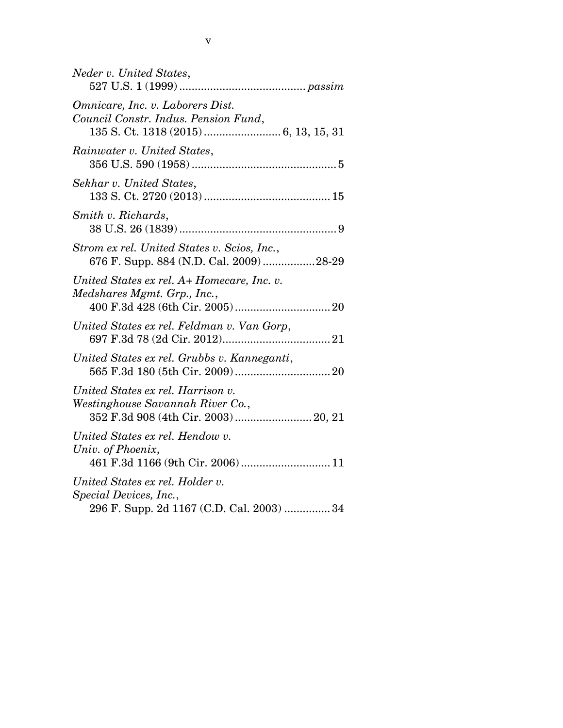| Neder v. United States,                                                                                       |
|---------------------------------------------------------------------------------------------------------------|
| Omnicare, Inc. v. Laborers Dist.<br>Council Constr. Indus. Pension Fund,                                      |
| Rainwater v. United States,                                                                                   |
| Sekhar v. United States,                                                                                      |
| Smith v. Richards,                                                                                            |
| Strom ex rel. United States v. Scios, Inc.,<br>676 F. Supp. 884 (N.D. Cal. 2009)28-29                         |
| United States ex rel. A+ Homecare, Inc. v.<br>Medshares Mgmt. Grp., Inc.,                                     |
| United States ex rel. Feldman v. Van Gorp,                                                                    |
| United States ex rel. Grubbs v. Kanneganti,                                                                   |
| United States ex rel. Harrison v.<br>Westinghouse Savannah River Co.,<br>352 F.3d 908 (4th Cir. 2003)  20, 21 |
| United States ex rel. Hendow v.<br>Univ. of Phoenix,<br>461 F.3d 1166 (9th Cir. 2006) 11                      |
| United States ex rel. Holder v.<br>Special Devices, Inc.,<br>296 F. Supp. 2d 1167 (C.D. Cal. 2003) 34         |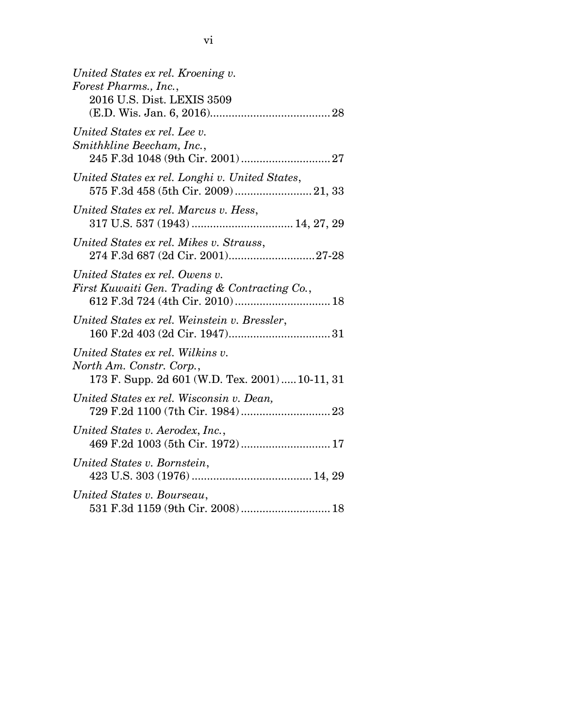| United States ex rel. Kroening v.<br>Forest Pharms., Inc.,<br>2016 U.S. Dist. LEXIS 3509                        |
|-----------------------------------------------------------------------------------------------------------------|
| United States ex rel. Lee v.<br>Smithkline Beecham, Inc.,                                                       |
| United States ex rel. Longhi v. United States,<br>575 F.3d 458 (5th Cir. 2009)  21, 33                          |
| United States ex rel. Marcus v. Hess,                                                                           |
| United States ex rel. Mikes v. Strauss,<br>274 F.3d 687 (2d Cir. 2001)27-28                                     |
| United States ex rel. Owens v.<br>First Kuwaiti Gen. Trading & Contracting Co.,                                 |
| United States ex rel. Weinstein v. Bressler,                                                                    |
| United States ex rel. Wilkins v.<br>North Am. Constr. Corp.,<br>173 F. Supp. 2d 601 (W.D. Tex. 2001)  10-11, 31 |
| United States ex rel. Wisconsin v. Dean,                                                                        |
| United States v. Aerodex, Inc.,<br>469 F.2d 1003 (5th Cir. 1972)  17                                            |
| United States v. Bornstein,                                                                                     |
| United States v. Bourseau,<br>531 F.3d 1159 (9th Cir. 2008)  18                                                 |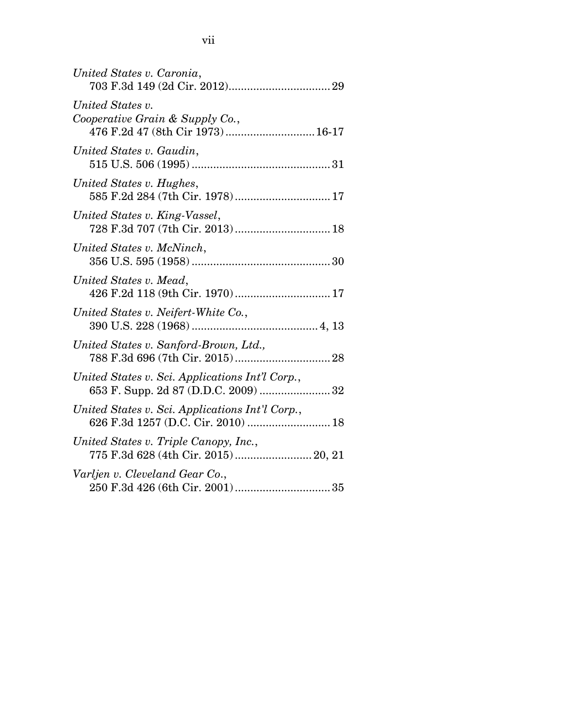| United States v. Caronia,                                                               |
|-----------------------------------------------------------------------------------------|
| United States v.<br>Cooperative Grain & Supply Co.,<br>476 F.2d 47 (8th Cir 1973) 16-17 |
| United States v. Gaudin,                                                                |
| United States v. Hughes,<br>585 F.2d 284 (7th Cir. 1978) 17                             |
| United States v. King-Vassel,<br>728 F.3d 707 (7th Cir. 2013)  18                       |
| United States v. McNinch,                                                               |
| United States v. Mead,                                                                  |
| United States v. Neifert-White Co.,                                                     |
| United States v. Sanford-Brown, Ltd.,                                                   |
| United States v. Sci. Applications Int'l Corp.,<br>653 F. Supp. 2d 87 (D.D.C. 2009)  32 |
| United States v. Sci. Applications Int'l Corp.,<br>626 F.3d 1257 (D.C. Cir. 2010)  18   |
| United States v. Triple Canopy, Inc.,<br>775 F.3d 628 (4th Cir. 2015) 20, 21            |
| Varljen v. Cleveland Gear Co.,                                                          |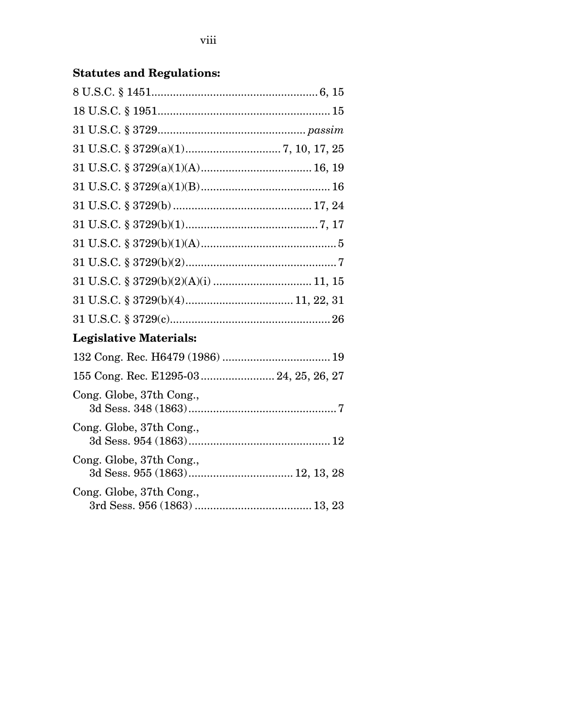# **Statutes and Regulations:**

Cong. Globe, 37th Cong.,

Cong. Globe, 37th Cong.,

Cong. Globe, 37th Cong.,

| Legislative Materials:                  |
|-----------------------------------------|
|                                         |
| 155 Cong. Rec. E1295-03  24, 25, 26, 27 |

3d Sess. 954 (1863) .............................................. 12

3d Sess. 955 (1863) .................................. 12, 13, 28

3rd Sess. 956 (1863) ...................................... 13, 23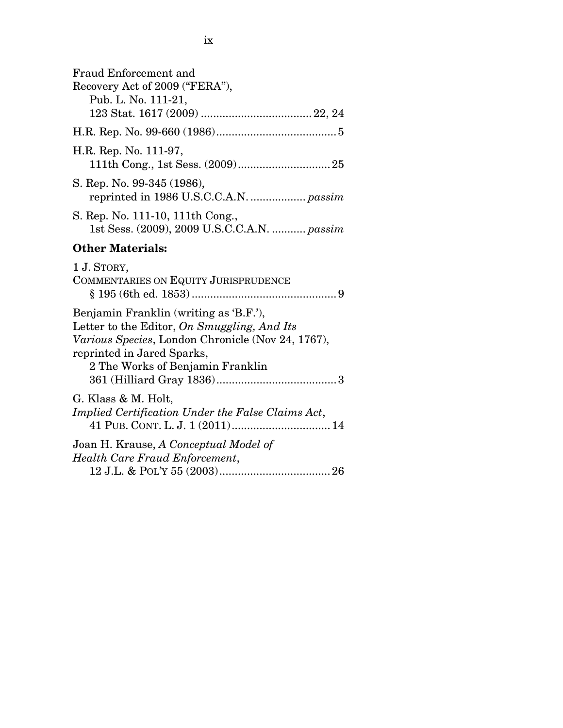| <b>Fraud Enforcement and</b><br>Recovery Act of 2009 ("FERA"),<br>Pub. L. No. 111-21,                                                                                                                        |
|--------------------------------------------------------------------------------------------------------------------------------------------------------------------------------------------------------------|
|                                                                                                                                                                                                              |
| H.R. Rep. No. 111-97,                                                                                                                                                                                        |
| S. Rep. No. 99-345 (1986),                                                                                                                                                                                   |
| S. Rep. No. 111-10, 111th Cong.,<br>1st Sess. (2009), 2009 U.S.C.C.A.N.  passim                                                                                                                              |
| <b>Other Materials:</b>                                                                                                                                                                                      |
| 1 J. STORY,<br>COMMENTARIES ON EQUITY JURISPRUDENCE                                                                                                                                                          |
| Benjamin Franklin (writing as 'B.F.'),<br>Letter to the Editor, On Smuggling, And Its<br>Various Species, London Chronicle (Nov 24, 1767),<br>reprinted in Jared Sparks,<br>2 The Works of Benjamin Franklin |
| G. Klass & M. Holt,<br>Implied Certification Under the False Claims Act,                                                                                                                                     |
| Joan H. Krause, A Conceptual Model of<br>Health Care Fraud Enforcement,                                                                                                                                      |
|                                                                                                                                                                                                              |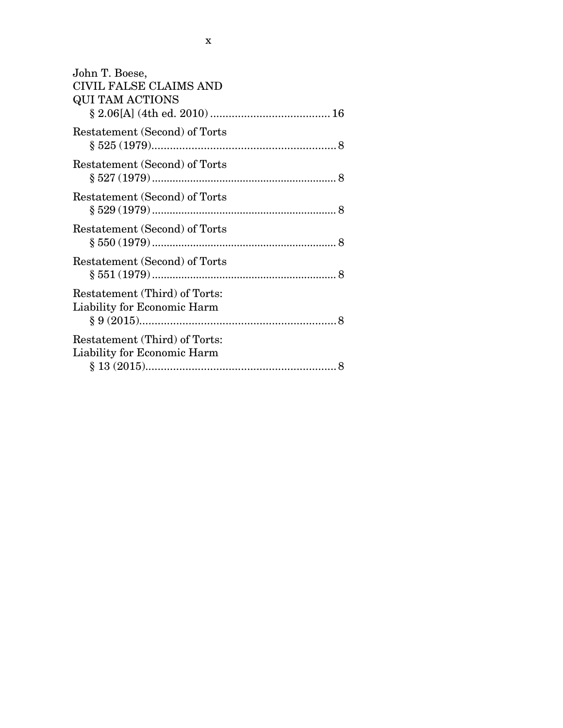| John T. Boese,                |
|-------------------------------|
| <b>CIVIL FALSE CLAIMS AND</b> |
| <b>QUI TAM ACTIONS</b>        |
|                               |
| Restatement (Second) of Torts |
|                               |
| Restatement (Second) of Torts |
|                               |
| Restatement (Second) of Torts |
|                               |
| Restatement (Second) of Torts |
|                               |
| Restatement (Second) of Torts |
|                               |
| Restatement (Third) of Torts: |
| Liability for Economic Harm   |
|                               |
| Restatement (Third) of Torts: |
| Liability for Economic Harm   |
|                               |
|                               |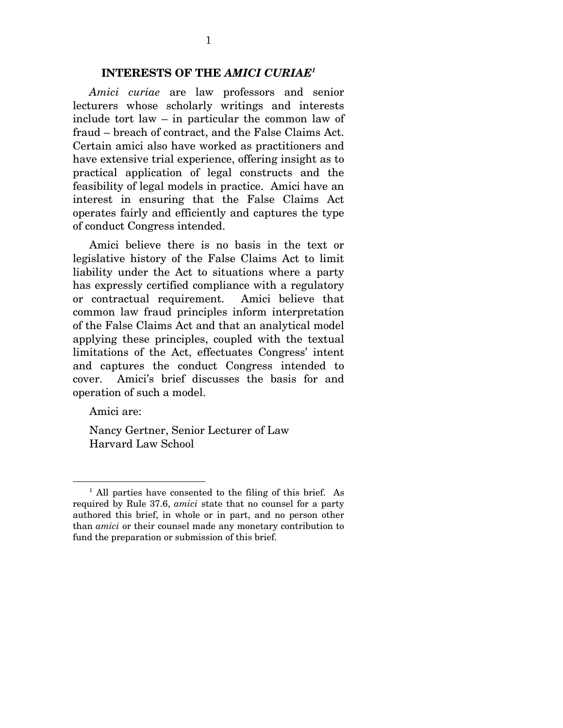#### **INTERESTS OF THE** *AMICI CURIAE1*

*Amici curiae* are law professors and senior lecturers whose scholarly writings and interests include tort law – in particular the common law of fraud – breach of contract, and the False Claims Act. Certain amici also have worked as practitioners and have extensive trial experience, offering insight as to practical application of legal constructs and the feasibility of legal models in practice. Amici have an interest in ensuring that the False Claims Act operates fairly and efficiently and captures the type of conduct Congress intended.

Amici believe there is no basis in the text or legislative history of the False Claims Act to limit liability under the Act to situations where a party has expressly certified compliance with a regulatory or contractual requirement. Amici believe that common law fraud principles inform interpretation of the False Claims Act and that an analytical model applying these principles, coupled with the textual limitations of the Act, effectuates Congress' intent and captures the conduct Congress intended to cover. Amici's brief discusses the basis for and operation of such a model.

Amici are:

 $\overline{a}$ 

Nancy Gertner, Senior Lecturer of Law Harvard Law School

<sup>&</sup>lt;sup>1</sup> All parties have consented to the filing of this brief. As required by Rule 37.6, *amici* state that no counsel for a party authored this brief, in whole or in part, and no person other than *amici* or their counsel made any monetary contribution to fund the preparation or submission of this brief.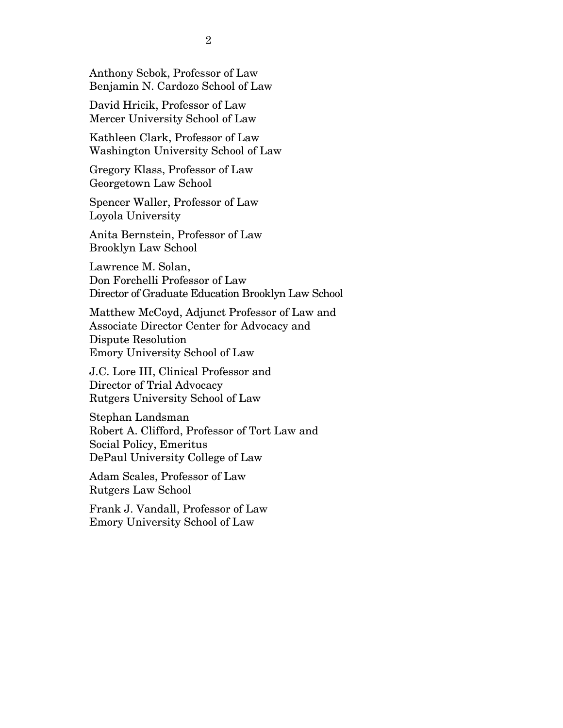Anthony Sebok, Professor of Law Benjamin N. Cardozo School of Law

David Hricik, Professor of Law Mercer University School of Law

Kathleen Clark, Professor of Law Washington University School of Law

Gregory Klass, Professor of Law Georgetown Law School

Spencer Waller, Professor of Law Loyola University

Anita Bernstein, Professor of Law Brooklyn Law School

Lawrence M. Solan, Don Forchelli Professor of Law Director of Graduate Education Brooklyn Law School

Matthew McCoyd, Adjunct Professor of Law and Associate Director Center for Advocacy and Dispute Resolution Emory University School of Law

J.C. Lore III, Clinical Professor and Director of Trial Advocacy Rutgers University School of Law

Stephan Landsman Robert A. Clifford, Professor of Tort Law and Social Policy, Emeritus DePaul University College of Law

Adam Scales, Professor of Law Rutgers Law School

Frank J. Vandall, Professor of Law Emory University School of Law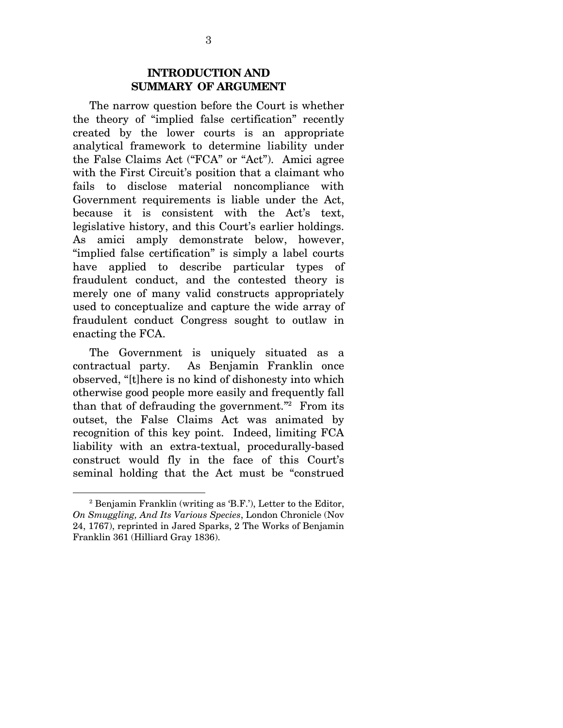### **INTRODUCTION AND SUMMARY OF ARGUMENT**

The narrow question before the Court is whether the theory of "implied false certification" recently created by the lower courts is an appropriate analytical framework to determine liability under the False Claims Act ("FCA" or "Act"). Amici agree with the First Circuit's position that a claimant who fails to disclose material noncompliance with Government requirements is liable under the Act, because it is consistent with the Act's text, legislative history, and this Court's earlier holdings. As amici amply demonstrate below, however, "implied false certification" is simply a label courts have applied to describe particular types of fraudulent conduct, and the contested theory is merely one of many valid constructs appropriately used to conceptualize and capture the wide array of fraudulent conduct Congress sought to outlaw in enacting the FCA.

The Government is uniquely situated as a contractual party. As Benjamin Franklin once observed, "[t]here is no kind of dishonesty into which otherwise good people more easily and frequently fall than that of defrauding the government."2 From its outset, the False Claims Act was animated by recognition of this key point. Indeed, limiting FCA liability with an extra-textual, procedurally-based construct would fly in the face of this Court's seminal holding that the Act must be "construed

<sup>2</sup> Benjamin Franklin (writing as 'B.F.'), Letter to the Editor, *On Smuggling, And Its Various Species*, London Chronicle (Nov 24, 1767), reprinted in Jared Sparks, 2 The Works of Benjamin Franklin 361 (Hilliard Gray 1836).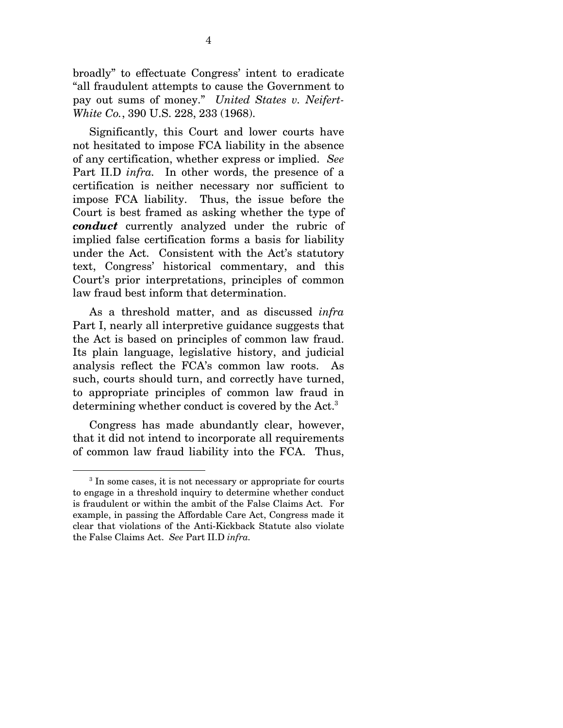broadly" to effectuate Congress' intent to eradicate "all fraudulent attempts to cause the Government to pay out sums of money." *United States v. Neifert-White Co.*, 390 U.S. 228, 233 (1968).

Significantly, this Court and lower courts have not hesitated to impose FCA liability in the absence of any certification, whether express or implied. *See*  Part II.D *infra.* In other words, the presence of a certification is neither necessary nor sufficient to impose FCA liability. Thus, the issue before the Court is best framed as asking whether the type of *conduct* currently analyzed under the rubric of implied false certification forms a basis for liability under the Act. Consistent with the Act's statutory text, Congress' historical commentary, and this Court's prior interpretations, principles of common law fraud best inform that determination.

As a threshold matter, and as discussed *infra* Part I, nearly all interpretive guidance suggests that the Act is based on principles of common law fraud. Its plain language, legislative history, and judicial analysis reflect the FCA's common law roots. As such, courts should turn, and correctly have turned, to appropriate principles of common law fraud in determining whether conduct is covered by the Act.<sup>3</sup>

Congress has made abundantly clear, however, that it did not intend to incorporate all requirements of common law fraud liability into the FCA. Thus,

<sup>&</sup>lt;sup>3</sup> In some cases, it is not necessary or appropriate for courts to engage in a threshold inquiry to determine whether conduct is fraudulent or within the ambit of the False Claims Act. For example, in passing the Affordable Care Act, Congress made it clear that violations of the Anti-Kickback Statute also violate the False Claims Act. *See* Part II.D *infra.*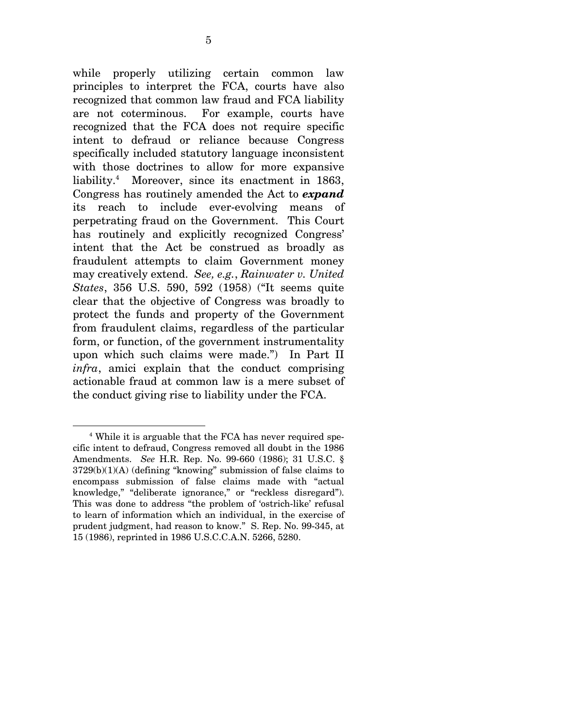while properly utilizing certain common law principles to interpret the FCA, courts have also recognized that common law fraud and FCA liability are not coterminous. For example, courts have recognized that the FCA does not require specific intent to defraud or reliance because Congress specifically included statutory language inconsistent with those doctrines to allow for more expansive liability.4 Moreover, since its enactment in 1863, Congress has routinely amended the Act to *expand* its reach to include ever-evolving means of perpetrating fraud on the Government. This Court has routinely and explicitly recognized Congress' intent that the Act be construed as broadly as fraudulent attempts to claim Government money may creatively extend. *See, e.g.*, *Rainwater v. United States*, 356 U.S. 590, 592 (1958) ("It seems quite clear that the objective of Congress was broadly to protect the funds and property of the Government from fraudulent claims, regardless of the particular form, or function, of the government instrumentality upon which such claims were made.")In Part II *infra*, amici explain that the conduct comprising actionable fraud at common law is a mere subset of the conduct giving rise to liability under the FCA.

<sup>4</sup> While it is arguable that the FCA has never required specific intent to defraud, Congress removed all doubt in the 1986 Amendments. *See* H.R. Rep. No. 99-660 (1986); 31 U.S.C. § 3729(b)(1)(A) (defining "knowing" submission of false claims to encompass submission of false claims made with "actual knowledge," "deliberate ignorance," or "reckless disregard"). This was done to address "the problem of 'ostrich-like' refusal to learn of information which an individual, in the exercise of prudent judgment, had reason to know." S. Rep. No. 99-345, at 15 (1986), reprinted in 1986 U.S.C.C.A.N. 5266, 5280.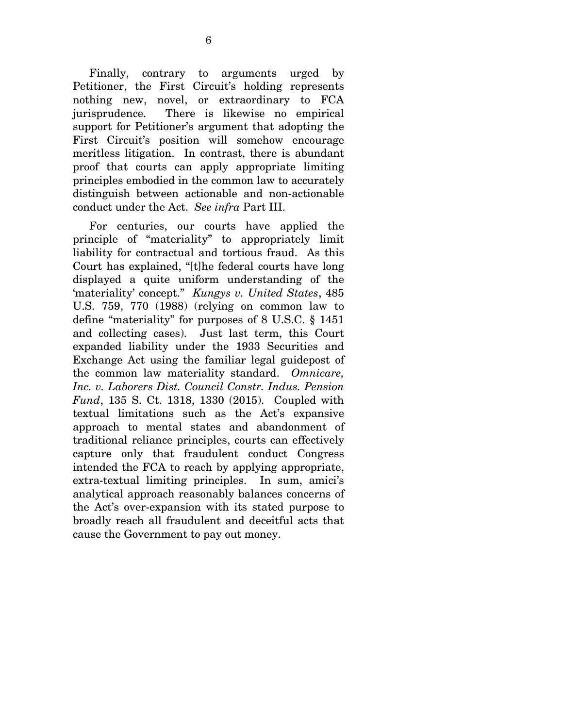Finally, contrary to arguments urged by Petitioner, the First Circuit's holding represents nothing new, novel, or extraordinary to FCA jurisprudence. There is likewise no empirical support for Petitioner's argument that adopting the First Circuit's position will somehow encourage meritless litigation. In contrast, there is abundant proof that courts can apply appropriate limiting principles embodied in the common law to accurately distinguish between actionable and non-actionable conduct under the Act. *See infra* Part III.

For centuries, our courts have applied the principle of "materiality" to appropriately limit liability for contractual and tortious fraud. As this Court has explained, "[t]he federal courts have long displayed a quite uniform understanding of the 'materiality' concept." *Kungys v. United States*, 485 U.S. 759, 770 (1988) (relying on common law to define "materiality" for purposes of 8 U.S.C. § 1451 and collecting cases). Just last term, this Court expanded liability under the 1933 Securities and Exchange Act using the familiar legal guidepost of the common law materiality standard. *Omnicare, Inc. v. Laborers Dist. Council Constr. Indus. Pension Fund*, 135 S. Ct. 1318, 1330 (2015). Coupled with textual limitations such as the Act's expansive approach to mental states and abandonment of traditional reliance principles, courts can effectively capture only that fraudulent conduct Congress intended the FCA to reach by applying appropriate, extra-textual limiting principles. In sum, amici's analytical approach reasonably balances concerns of the Act's over-expansion with its stated purpose to broadly reach all fraudulent and deceitful acts that cause the Government to pay out money.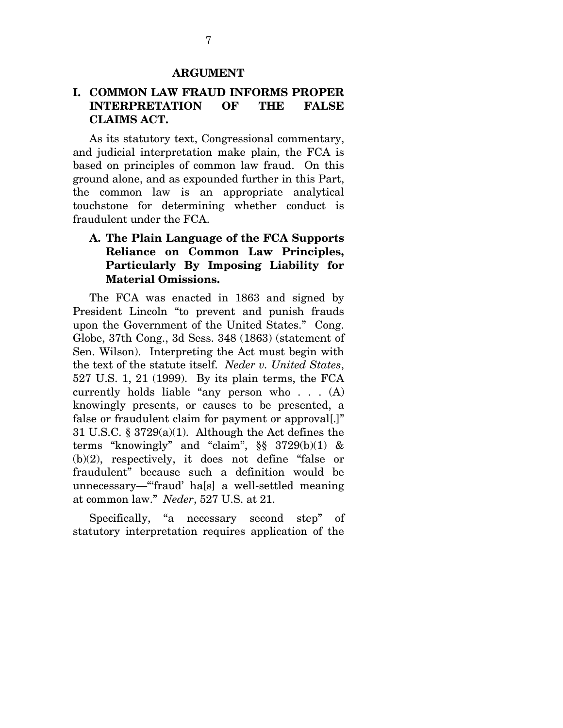#### **ARGUMENT**

### **I. COMMON LAW FRAUD INFORMS PROPER INTERPRETATION OF THE FALSE CLAIMS ACT.**

As its statutory text, Congressional commentary, and judicial interpretation make plain, the FCA is based on principles of common law fraud. On this ground alone, and as expounded further in this Part, the common law is an appropriate analytical touchstone for determining whether conduct is fraudulent under the FCA.

### **A. The Plain Language of the FCA Supports Reliance on Common Law Principles, Particularly By Imposing Liability for Material Omissions.**

The FCA was enacted in 1863 and signed by President Lincoln "to prevent and punish frauds upon the Government of the United States." Cong. Globe, 37th Cong., 3d Sess. 348 (1863) (statement of Sen. Wilson). Interpreting the Act must begin with the text of the statute itself. *Neder v. United States*, 527 U.S. 1, 21 (1999). By its plain terms, the FCA currently holds liable "any person who . . . (A) knowingly presents, or causes to be presented, a false or fraudulent claim for payment or approval[.]" 31 U.S.C. § 3729(a)(1). Although the Act defines the terms "knowingly" and "claim", §§ 3729(b)(1) & (b)(2), respectively, it does not define "false or fraudulent" because such a definition would be unnecessary—"'fraud' ha[s] a well-settled meaning at common law." *Neder*, 527 U.S. at 21.

Specifically, "a necessary second step" of statutory interpretation requires application of the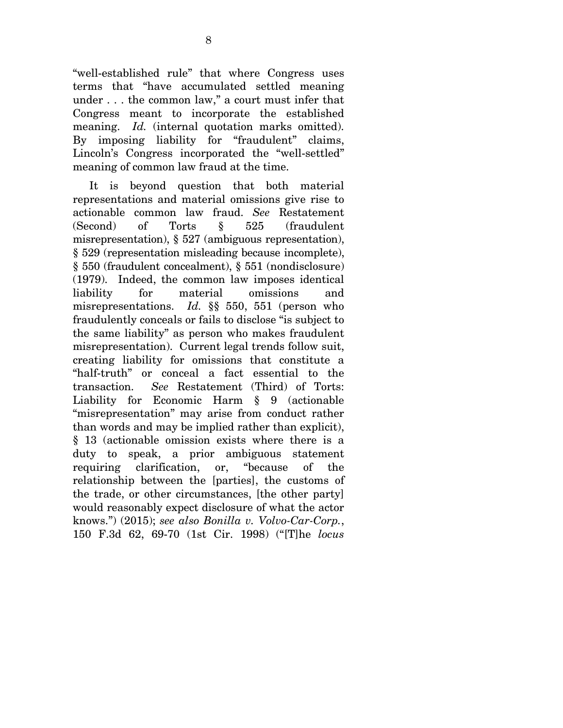"well-established rule" that where Congress uses terms that "have accumulated settled meaning under . . . the common law," a court must infer that Congress meant to incorporate the established meaning. *Id.* (internal quotation marks omitted). By imposing liability for "fraudulent" claims, Lincoln's Congress incorporated the "well-settled" meaning of common law fraud at the time.

It is beyond question that both material representations and material omissions give rise to actionable common law fraud. *See* Restatement (Second) of Torts § 525 (fraudulent misrepresentation), § 527 (ambiguous representation), § 529 (representation misleading because incomplete), § 550 (fraudulent concealment), § 551 (nondisclosure) (1979). Indeed, the common law imposes identical liability for material omissions and misrepresentations. *Id.* §§ 550, 551 (person who fraudulently conceals or fails to disclose "is subject to the same liability" as person who makes fraudulent misrepresentation). Current legal trends follow suit, creating liability for omissions that constitute a "half-truth" or conceal a fact essential to the transaction. *See* Restatement (Third) of Torts: Liability for Economic Harm § 9 (actionable "misrepresentation" may arise from conduct rather than words and may be implied rather than explicit), § 13 (actionable omission exists where there is a duty to speak, a prior ambiguous statement requiring clarification, or, "because of the relationship between the [parties], the customs of the trade, or other circumstances, [the other party] would reasonably expect disclosure of what the actor knows.") (2015); *see also Bonilla v. Volvo-Car-Corp.*, 150 F.3d 62, 69-70 (1st Cir. 1998) ("[T]he *locus*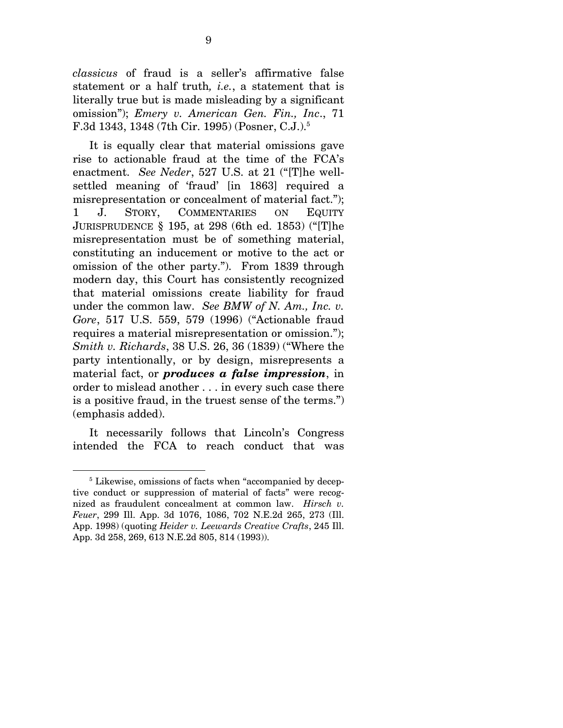*classicus* of fraud is a seller's affirmative false statement or a half truth*, i.e.*, a statement that is literally true but is made misleading by a significant omission"); *Emery v. American Gen. Fin., Inc*., 71 F.3d 1343, 1348 (7th Cir. 1995) (Posner, C.J.).5

It is equally clear that material omissions gave rise to actionable fraud at the time of the FCA's enactment. *See Neder*, 527 U.S. at 21 ("[T]he wellsettled meaning of 'fraud' [in 1863] required a misrepresentation or concealment of material fact."); 1 J. STORY, COMMENTARIES ON EQUITY JURISPRUDENCE § 195, at 298 (6th ed. 1853) ("[T]he misrepresentation must be of something material, constituting an inducement or motive to the act or omission of the other party."). From 1839 through modern day, this Court has consistently recognized that material omissions create liability for fraud under the common law. *See BMW of N. Am., Inc. v. Gore*, 517 U.S. 559, 579 (1996) ("Actionable fraud requires a material misrepresentation or omission."); *Smith v. Richards*, 38 U.S. 26, 36 (1839) ("Where the party intentionally, or by design, misrepresents a material fact, or *produces a false impression*, in order to mislead another . . . in every such case there is a positive fraud, in the truest sense of the terms.") (emphasis added).

It necessarily follows that Lincoln's Congress intended the FCA to reach conduct that was

<sup>&</sup>lt;sup>5</sup> Likewise, omissions of facts when "accompanied by deceptive conduct or suppression of material of facts" were recognized as fraudulent concealment at common law. *Hirsch v. Feuer*, 299 Ill. App. 3d 1076, 1086, 702 N.E.2d 265, 273 (Ill. App. 1998) (quoting *Heider v. Leewards Creative Crafts*, 245 Ill. App. 3d 258, 269, 613 N.E.2d 805, 814 (1993)).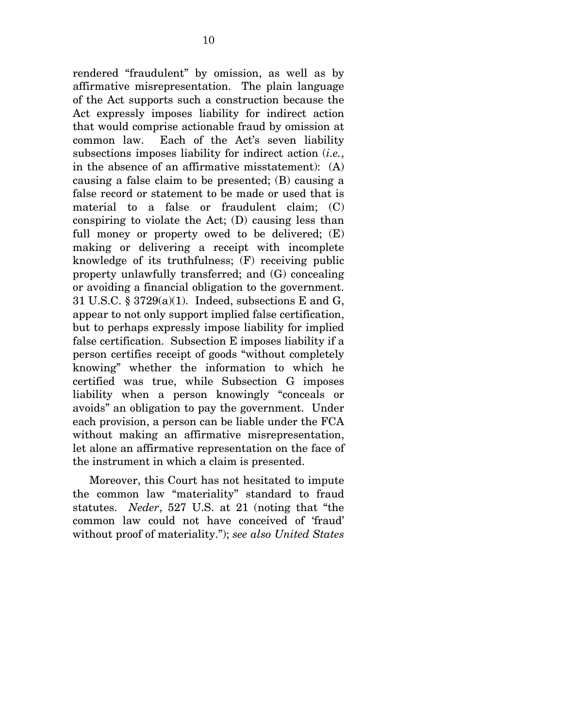rendered "fraudulent" by omission, as well as by affirmative misrepresentation. The plain language of the Act supports such a construction because the Act expressly imposes liability for indirect action that would comprise actionable fraud by omission at common law. Each of the Act's seven liability subsections imposes liability for indirect action (*i.e.*, in the absence of an affirmative misstatement): (A) causing a false claim to be presented; (B) causing a false record or statement to be made or used that is material to a false or fraudulent claim; (C) conspiring to violate the Act; (D) causing less than full money or property owed to be delivered; (E) making or delivering a receipt with incomplete knowledge of its truthfulness; (F) receiving public property unlawfully transferred; and (G) concealing or avoiding a financial obligation to the government. 31 U.S.C. § 3729(a)(1). Indeed, subsections E and G, appear to not only support implied false certification, but to perhaps expressly impose liability for implied false certification. Subsection E imposes liability if a person certifies receipt of goods "without completely knowing" whether the information to which he certified was true, while Subsection G imposes liability when a person knowingly "conceals or avoids" an obligation to pay the government. Under each provision, a person can be liable under the FCA without making an affirmative misrepresentation, let alone an affirmative representation on the face of the instrument in which a claim is presented.

Moreover, this Court has not hesitated to impute the common law "materiality" standard to fraud statutes. *Neder*, 527 U.S. at 21 (noting that "the common law could not have conceived of 'fraud' without proof of materiality."); *see also United States*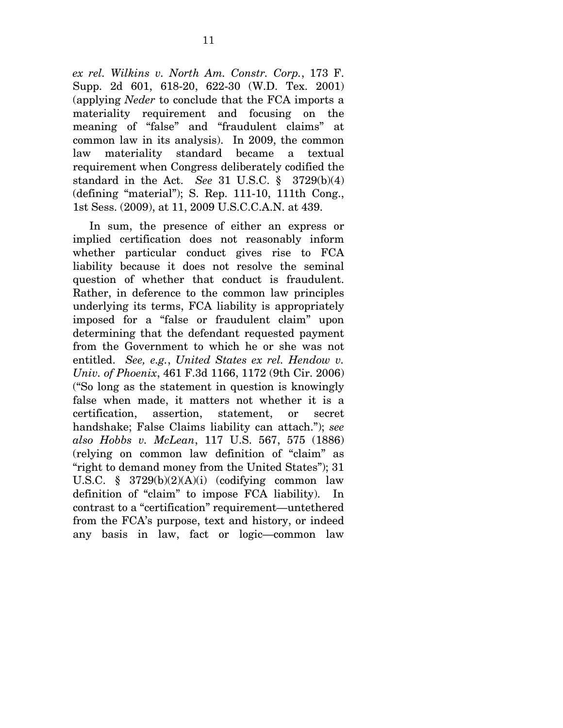*ex rel. Wilkins v. North Am. Constr. Corp.*, 173 F. Supp. 2d 601, 618-20, 622-30 (W.D. Tex. 2001) (applying *Neder* to conclude that the FCA imports a materiality requirement and focusing on the meaning of "false" and "fraudulent claims" at common law in its analysis). In 2009, the common law materiality standard became a textual requirement when Congress deliberately codified the standard in the Act. *See* 31 U.S.C. § 3729(b)(4) (defining "material"); S. Rep. 111-10, 111th Cong., 1st Sess. (2009), at 11, 2009 U.S.C.C.A.N. at 439.

In sum, the presence of either an express or implied certification does not reasonably inform whether particular conduct gives rise to FCA liability because it does not resolve the seminal question of whether that conduct is fraudulent. Rather, in deference to the common law principles underlying its terms, FCA liability is appropriately imposed for a "false or fraudulent claim" upon determining that the defendant requested payment from the Government to which he or she was not entitled. *See, e.g.*, *United States ex rel. Hendow v. Univ. of Phoenix*, 461 F.3d 1166, 1172 (9th Cir. 2006) ("So long as the statement in question is knowingly false when made, it matters not whether it is a certification, assertion, statement, or secret handshake; False Claims liability can attach."); *see also Hobbs v. McLean*, 117 U.S. 567, 575 (1886) (relying on common law definition of "claim" as "right to demand money from the United States"); 31 U.S.C. §  $3729(b)(2)(A)(i)$  (codifying common law definition of "claim" to impose FCA liability). In contrast to a "certification" requirement—untethered from the FCA's purpose, text and history, or indeed any basis in law, fact or logic—common law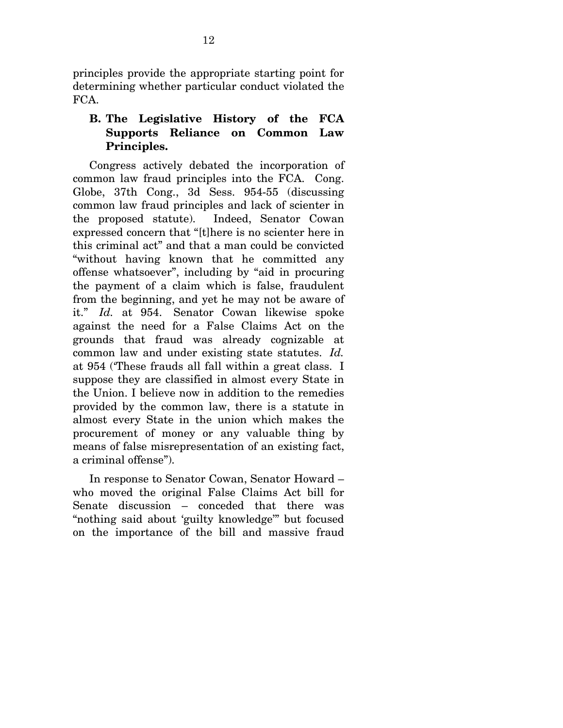principles provide the appropriate starting point for determining whether particular conduct violated the FCA.

# **B. The Legislative History of the FCA Supports Reliance on Common Law Principles.**

Congress actively debated the incorporation of common law fraud principles into the FCA. Cong. Globe, 37th Cong., 3d Sess. 954-55 (discussing common law fraud principles and lack of scienter in the proposed statute). Indeed, Senator Cowan expressed concern that "[t]here is no scienter here in this criminal act" and that a man could be convicted "without having known that he committed any offense whatsoever", including by "aid in procuring the payment of a claim which is false, fraudulent from the beginning, and yet he may not be aware of it." *Id.* at 954. Senator Cowan likewise spoke against the need for a False Claims Act on the grounds that fraud was already cognizable at common law and under existing state statutes. *Id.* at 954 ('These frauds all fall within a great class. I suppose they are classified in almost every State in the Union. I believe now in addition to the remedies provided by the common law, there is a statute in almost every State in the union which makes the procurement of money or any valuable thing by means of false misrepresentation of an existing fact, a criminal offense").

In response to Senator Cowan, Senator Howard – who moved the original False Claims Act bill for Senate discussion – conceded that there was "nothing said about 'guilty knowledge'" but focused on the importance of the bill and massive fraud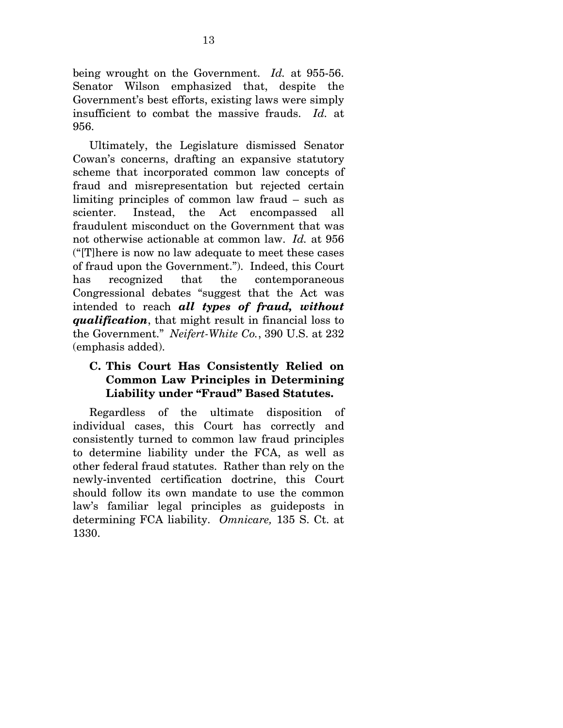being wrought on the Government. *Id.* at 955-56. Senator Wilson emphasized that, despite the Government's best efforts, existing laws were simply insufficient to combat the massive frauds. *Id.* at 956.

Ultimately, the Legislature dismissed Senator Cowan's concerns, drafting an expansive statutory scheme that incorporated common law concepts of fraud and misrepresentation but rejected certain limiting principles of common law fraud – such as scienter. Instead, the Act encompassed all fraudulent misconduct on the Government that was not otherwise actionable at common law. *Id.* at 956 ("[T]here is now no law adequate to meet these cases of fraud upon the Government."). Indeed, this Court has recognized that the contemporaneous Congressional debates "suggest that the Act was intended to reach *all types of fraud, without qualification*, that might result in financial loss to the Government." *Neifert-White Co.*, 390 U.S. at 232 (emphasis added).

## **C. This Court Has Consistently Relied on Common Law Principles in Determining Liability under "Fraud" Based Statutes.**

Regardless of the ultimate disposition of individual cases, this Court has correctly and consistently turned to common law fraud principles to determine liability under the FCA, as well as other federal fraud statutes. Rather than rely on the newly-invented certification doctrine, this Court should follow its own mandate to use the common law's familiar legal principles as guideposts in determining FCA liability. *Omnicare,* 135 S. Ct. at 1330.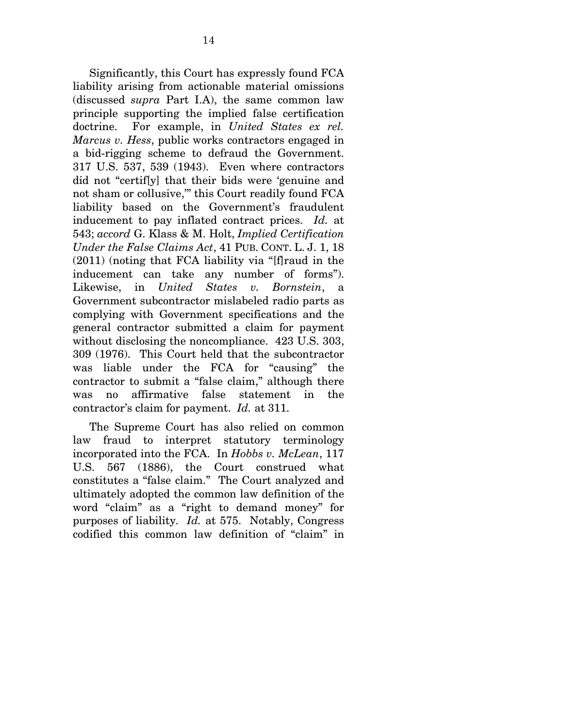Significantly, this Court has expressly found FCA liability arising from actionable material omissions (discussed *supra* Part I.A), the same common law principle supporting the implied false certification doctrine. For example, in *United States ex rel. Marcus v. Hess*, public works contractors engaged in a bid-rigging scheme to defraud the Government. 317 U.S. 537, 539 (1943). Even where contractors did not "certif[y] that their bids were 'genuine and not sham or collusive,'" this Court readily found FCA liability based on the Government's fraudulent inducement to pay inflated contract prices. *Id.* at 543; *accord* G. Klass & M. Holt, *Implied Certification Under the False Claims Act*, 41 PUB. CONT. L. J. 1, 18 (2011) (noting that FCA liability via "[f]raud in the inducement can take any number of forms"). Likewise, in *United States v. Bornstein*, a Government subcontractor mislabeled radio parts as complying with Government specifications and the general contractor submitted a claim for payment without disclosing the noncompliance. 423 U.S. 303, 309 (1976). This Court held that the subcontractor was liable under the FCA for "causing" the contractor to submit a "false claim," although there was no affirmative false statement in the contractor's claim for payment. *Id.* at 311.

The Supreme Court has also relied on common law fraud to interpret statutory terminology incorporated into the FCA. In *Hobbs v. McLean*, 117 U.S. 567 (1886), the Court construed what constitutes a "false claim." The Court analyzed and ultimately adopted the common law definition of the word "claim" as a "right to demand money" for purposes of liability. *Id.* at 575. Notably, Congress codified this common law definition of "claim" in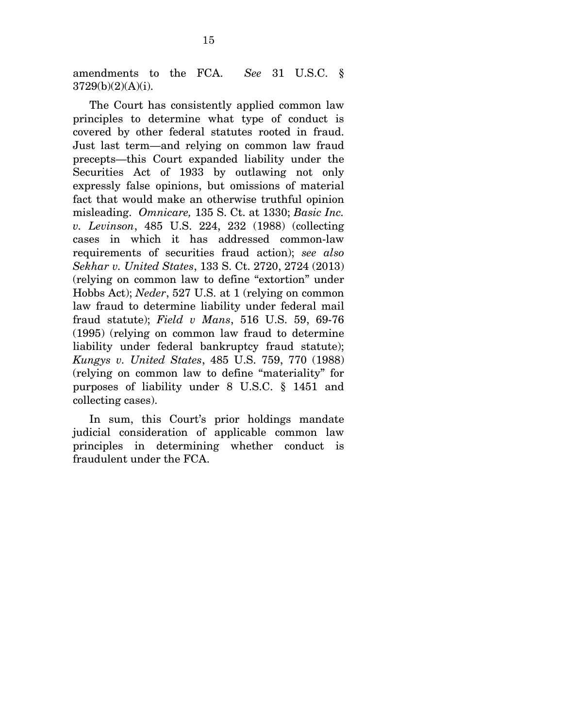amendments to the FCA. *See* 31 U.S.C. § 3729(b)(2)(A)(i).

The Court has consistently applied common law principles to determine what type of conduct is covered by other federal statutes rooted in fraud. Just last term—and relying on common law fraud precepts—this Court expanded liability under the Securities Act of 1933 by outlawing not only expressly false opinions, but omissions of material fact that would make an otherwise truthful opinion misleading. *Omnicare,* 135 S. Ct. at 1330; *Basic Inc. v. Levinson*, 485 U.S. 224, 232 (1988) (collecting cases in which it has addressed common-law requirements of securities fraud action); *see also Sekhar v. United States*, 133 S. Ct. 2720, 2724 (2013) (relying on common law to define "extortion" under Hobbs Act); *Neder*, 527 U.S. at 1 (relying on common law fraud to determine liability under federal mail fraud statute); *Field v Mans*, 516 U.S. 59, 69-76 (1995) (relying on common law fraud to determine liability under federal bankruptcy fraud statute); *Kungys v. United States*, 485 U.S. 759, 770 (1988) (relying on common law to define "materiality" for purposes of liability under 8 U.S.C. § 1451 and collecting cases).

In sum, this Court's prior holdings mandate judicial consideration of applicable common law principles in determining whether conduct is fraudulent under the FCA.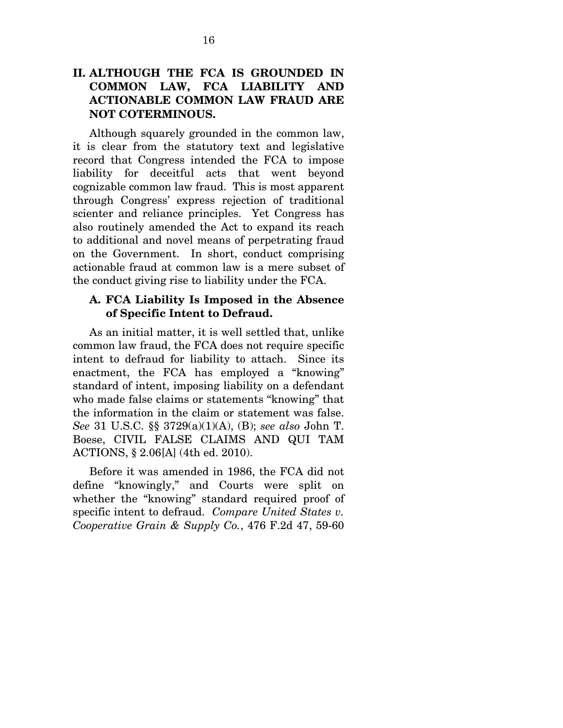### **II. ALTHOUGH THE FCA IS GROUNDED IN COMMON LAW, FCA LIABILITY AND ACTIONABLE COMMON LAW FRAUD ARE NOT COTERMINOUS.**

Although squarely grounded in the common law, it is clear from the statutory text and legislative record that Congress intended the FCA to impose liability for deceitful acts that went beyond cognizable common law fraud. This is most apparent through Congress' express rejection of traditional scienter and reliance principles. Yet Congress has also routinely amended the Act to expand its reach to additional and novel means of perpetrating fraud on the Government. In short, conduct comprising actionable fraud at common law is a mere subset of the conduct giving rise to liability under the FCA.

#### **A. FCA Liability Is Imposed in the Absence of Specific Intent to Defraud.**

As an initial matter, it is well settled that, unlike common law fraud, the FCA does not require specific intent to defraud for liability to attach. Since its enactment, the FCA has employed a "knowing" standard of intent, imposing liability on a defendant who made false claims or statements "knowing" that the information in the claim or statement was false. *See* 31 U.S.C. §§ 3729(a)(1)(A), (B); *see also* John T. Boese, CIVIL FALSE CLAIMS AND QUI TAM ACTIONS, § 2.06[A] (4th ed. 2010).

Before it was amended in 1986, the FCA did not define "knowingly," and Courts were split on whether the "knowing" standard required proof of specific intent to defraud. *Compare United States v. Cooperative Grain & Supply Co.*, 476 F.2d 47, 59-60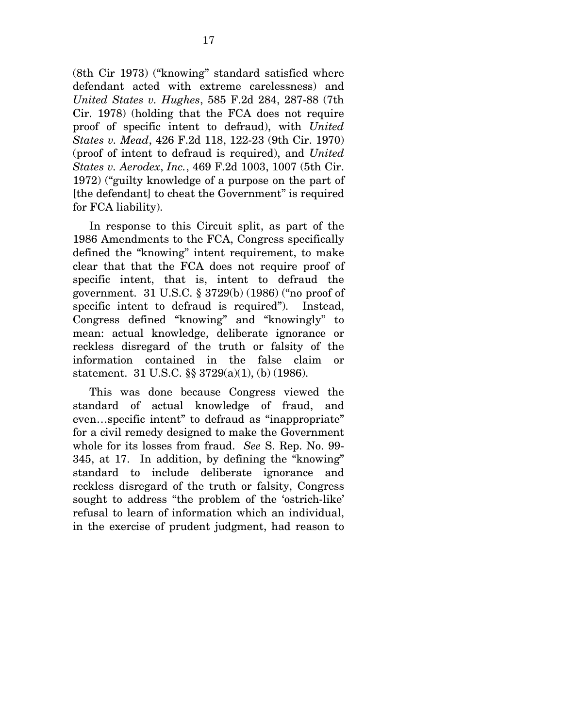(8th Cir 1973) ("knowing" standard satisfied where defendant acted with extreme carelessness) and *United States v. Hughes*, 585 F.2d 284, 287-88 (7th Cir. 1978) (holding that the FCA does not require proof of specific intent to defraud), with *United States v. Mead*, 426 F.2d 118, 122-23 (9th Cir. 1970) (proof of intent to defraud is required), and *United States v. Aerodex*, *Inc.*, 469 F.2d 1003, 1007 (5th Cir. 1972) ("guilty knowledge of a purpose on the part of [the defendant] to cheat the Government" is required for FCA liability).

In response to this Circuit split, as part of the 1986 Amendments to the FCA, Congress specifically defined the "knowing" intent requirement, to make clear that that the FCA does not require proof of specific intent, that is, intent to defraud the government. 31 U.S.C. § 3729(b) (1986) ("no proof of specific intent to defraud is required"). Instead, Congress defined "knowing" and "knowingly" to mean: actual knowledge, deliberate ignorance or reckless disregard of the truth or falsity of the information contained in the false claim or statement. 31 U.S.C. §§ 3729(a)(1), (b) (1986).

This was done because Congress viewed the standard of actual knowledge of fraud, and even…specific intent" to defraud as "inappropriate" for a civil remedy designed to make the Government whole for its losses from fraud. *See* S. Rep. No. 99- 345, at 17. In addition, by defining the "knowing" standard to include deliberate ignorance and reckless disregard of the truth or falsity, Congress sought to address "the problem of the 'ostrich-like' refusal to learn of information which an individual, in the exercise of prudent judgment, had reason to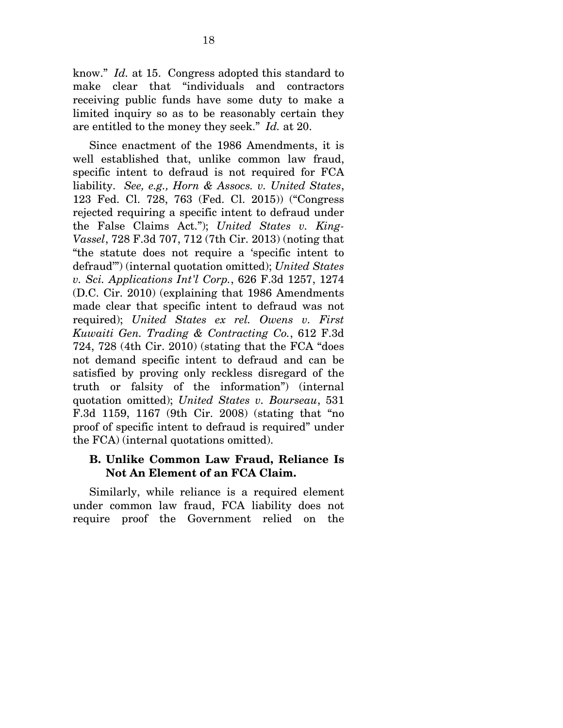know." *Id.* at 15. Congress adopted this standard to make clear that "individuals and contractors receiving public funds have some duty to make a limited inquiry so as to be reasonably certain they are entitled to the money they seek." *Id.* at 20.

Since enactment of the 1986 Amendments, it is well established that, unlike common law fraud, specific intent to defraud is not required for FCA liability. *See, e.g., Horn & Assocs. v. United States*, 123 Fed. Cl. 728, 763 (Fed. Cl. 2015)) ("Congress rejected requiring a specific intent to defraud under the False Claims Act."); *United States v. King-Vassel*, 728 F.3d 707, 712 (7th Cir. 2013) (noting that "the statute does not require a 'specific intent to defraud'") (internal quotation omitted); *United States v. Sci. Applications Int'l Corp.*, 626 F.3d 1257, 1274 (D.C. Cir. 2010) (explaining that 1986 Amendments made clear that specific intent to defraud was not required); *United States ex rel. Owens v. First Kuwaiti Gen. Trading & Contracting Co.*, 612 F.3d 724, 728 (4th Cir. 2010) (stating that the FCA "does not demand specific intent to defraud and can be satisfied by proving only reckless disregard of the truth or falsity of the information") (internal quotation omitted); *United States v. Bourseau*, 531 F.3d 1159, 1167 (9th Cir. 2008) (stating that "no proof of specific intent to defraud is required" under the FCA) (internal quotations omitted).

#### **B. Unlike Common Law Fraud, Reliance Is Not An Element of an FCA Claim.**

Similarly, while reliance is a required element under common law fraud, FCA liability does not require proof the Government relied on the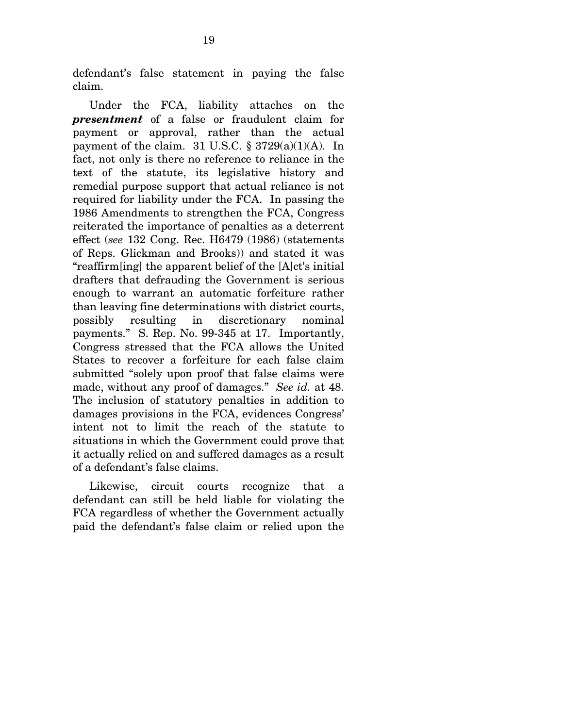defendant's false statement in paying the false claim.

Under the FCA, liability attaches on the *presentment* of a false or fraudulent claim for payment or approval, rather than the actual payment of the claim.  $31 \text{ U.S.C. }$  §  $3729(a)(1)(A)$ . In fact, not only is there no reference to reliance in the text of the statute, its legislative history and remedial purpose support that actual reliance is not required for liability under the FCA. In passing the 1986 Amendments to strengthen the FCA, Congress reiterated the importance of penalties as a deterrent effect (*see* 132 Cong. Rec. H6479 (1986) (statements of Reps. Glickman and Brooks)) and stated it was "reaffirm[ing] the apparent belief of the [A]ct's initial drafters that defrauding the Government is serious enough to warrant an automatic forfeiture rather than leaving fine determinations with district courts, possibly resulting in discretionary nominal payments." S. Rep. No. 99-345 at 17. Importantly, Congress stressed that the FCA allows the United States to recover a forfeiture for each false claim submitted "solely upon proof that false claims were made, without any proof of damages." *See id.* at 48. The inclusion of statutory penalties in addition to damages provisions in the FCA, evidences Congress' intent not to limit the reach of the statute to situations in which the Government could prove that it actually relied on and suffered damages as a result of a defendant's false claims.

Likewise, circuit courts recognize that a defendant can still be held liable for violating the FCA regardless of whether the Government actually paid the defendant's false claim or relied upon the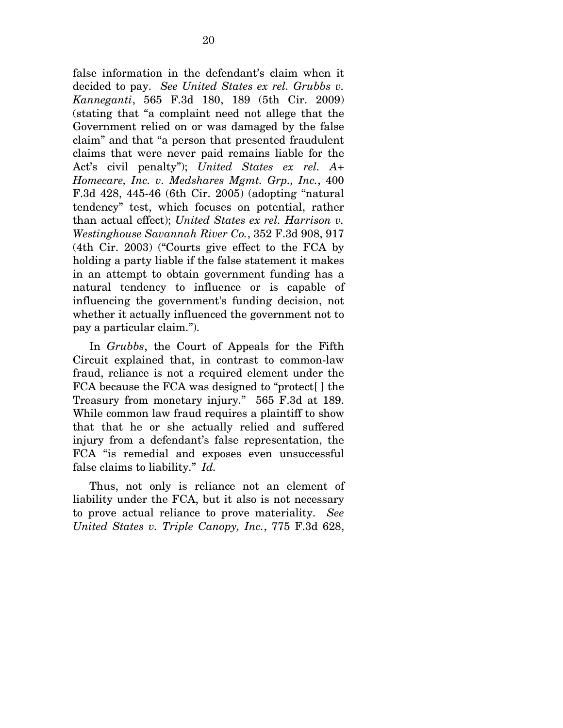false information in the defendant's claim when it decided to pay. *See United States ex rel. Grubbs v. Kanneganti*, 565 F.3d 180, 189 (5th Cir. 2009) (stating that "a complaint need not allege that the Government relied on or was damaged by the false claim" and that "a person that presented fraudulent claims that were never paid remains liable for the Act's civil penalty"); *United States ex rel. A+ Homecare, Inc. v. Medshares Mgmt. Grp., Inc.*, 400 F.3d 428, 445-46 (6th Cir. 2005) (adopting "natural tendency" test, which focuses on potential, rather than actual effect); *United States ex rel. Harrison v. Westinghouse Savannah River Co.*, 352 F.3d 908, 917 (4th Cir. 2003) ("Courts give effect to the FCA by holding a party liable if the false statement it makes in an attempt to obtain government funding has a natural tendency to influence or is capable of influencing the government's funding decision, not whether it actually influenced the government not to pay a particular claim.").

In *Grubbs*, the Court of Appeals for the Fifth Circuit explained that, in contrast to common-law fraud, reliance is not a required element under the FCA because the FCA was designed to "protect[ ] the Treasury from monetary injury." 565 F.3d at 189. While common law fraud requires a plaintiff to show that that he or she actually relied and suffered injury from a defendant's false representation, the FCA "is remedial and exposes even unsuccessful false claims to liability." *Id.*

Thus, not only is reliance not an element of liability under the FCA, but it also is not necessary to prove actual reliance to prove materiality. *See United States v. Triple Canopy, Inc.*, 775 F.3d 628,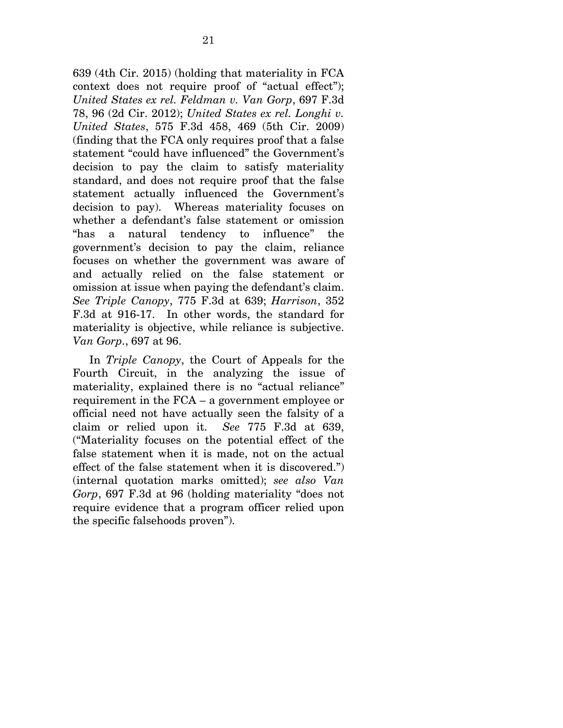639 (4th Cir. 2015) (holding that materiality in FCA context does not require proof of "actual effect"); *United States ex rel. Feldman v. Van Gorp*, 697 F.3d 78, 96 (2d Cir. 2012); *United States ex rel. Longhi v. United States*, 575 F.3d 458, 469 (5th Cir. 2009) (finding that the FCA only requires proof that a false statement "could have influenced" the Government's decision to pay the claim to satisfy materiality standard, and does not require proof that the false statement actually influenced the Government's decision to pay). Whereas materiality focuses on whether a defendant's false statement or omission "has a natural tendency to influence" the government's decision to pay the claim, reliance focuses on whether the government was aware of and actually relied on the false statement or omission at issue when paying the defendant's claim. *See Triple Canopy*, 775 F.3d at 639; *Harrison*, 352 F.3d at 916-17. In other words, the standard for materiality is objective, while reliance is subjective. *Van Gorp*., 697 at 96.

In *Triple Canopy*, the Court of Appeals for the Fourth Circuit, in the analyzing the issue of materiality, explained there is no "actual reliance" requirement in the FCA – a government employee or official need not have actually seen the falsity of a claim or relied upon it. *See* 775 F.3d at 639, ("Materiality focuses on the potential effect of the false statement when it is made, not on the actual effect of the false statement when it is discovered.") (internal quotation marks omitted); *see also Van Gorp*, 697 F.3d at 96 (holding materiality "does not require evidence that a program officer relied upon the specific falsehoods proven").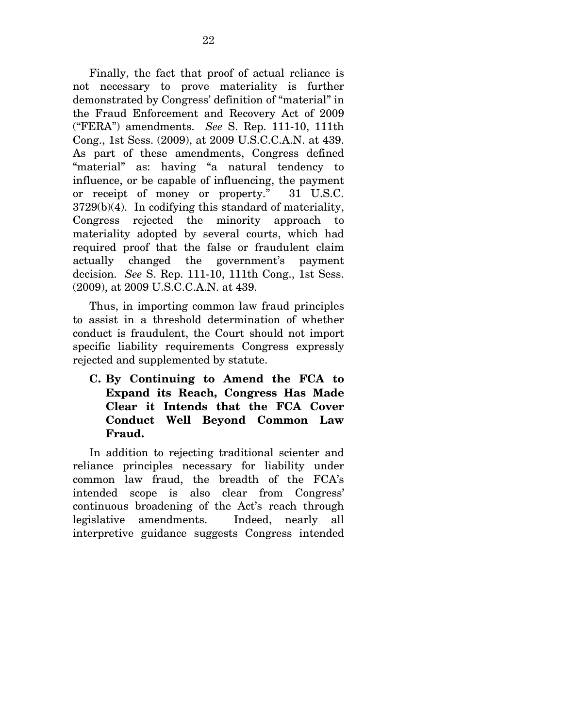Finally, the fact that proof of actual reliance is not necessary to prove materiality is further demonstrated by Congress' definition of "material" in the Fraud Enforcement and Recovery Act of 2009 ("FERA") amendments. *See* S. Rep. 111-10, 111th Cong., 1st Sess. (2009), at 2009 U.S.C.C.A.N. at 439. As part of these amendments, Congress defined "material" as: having "a natural tendency to influence, or be capable of influencing, the payment or receipt of money or property." 31 U.S.C. 3729(b)(4). In codifying this standard of materiality, Congress rejected the minority approach to materiality adopted by several courts, which had required proof that the false or fraudulent claim actually changed the government's payment decision. *See* S. Rep. 111-10, 111th Cong., 1st Sess. (2009), at 2009 U.S.C.C.A.N. at 439.

Thus, in importing common law fraud principles to assist in a threshold determination of whether conduct is fraudulent, the Court should not import specific liability requirements Congress expressly rejected and supplemented by statute.

**C. By Continuing to Amend the FCA to Expand its Reach, Congress Has Made Clear it Intends that the FCA Cover Conduct Well Beyond Common Law Fraud.** 

In addition to rejecting traditional scienter and reliance principles necessary for liability under common law fraud, the breadth of the FCA's intended scope is also clear from Congress' continuous broadening of the Act's reach through legislative amendments. Indeed, nearly all interpretive guidance suggests Congress intended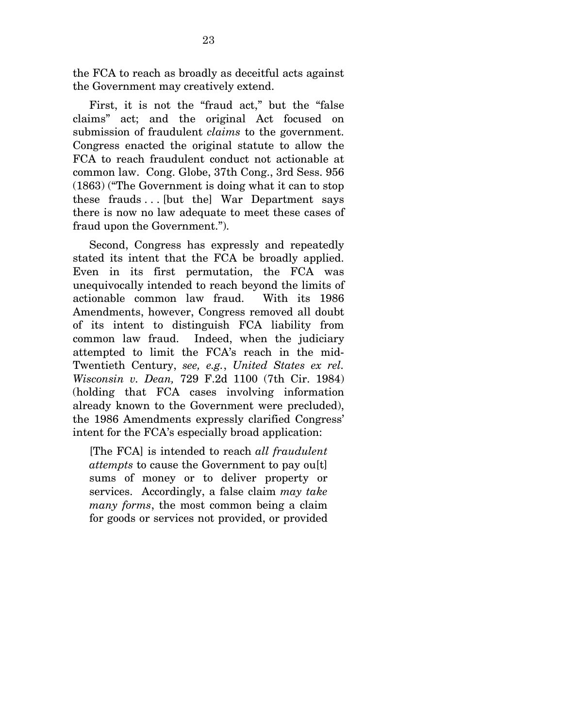the FCA to reach as broadly as deceitful acts against the Government may creatively extend.

First, it is not the "fraud act," but the "false claims" act; and the original Act focused on submission of fraudulent *claims* to the government. Congress enacted the original statute to allow the FCA to reach fraudulent conduct not actionable at common law. Cong. Globe, 37th Cong., 3rd Sess. 956 (1863) ("The Government is doing what it can to stop these frauds  $\dots$  [but the] War Department says there is now no law adequate to meet these cases of fraud upon the Government.").

Second, Congress has expressly and repeatedly stated its intent that the FCA be broadly applied. Even in its first permutation, the FCA was unequivocally intended to reach beyond the limits of actionable common law fraud. With its 1986 Amendments, however, Congress removed all doubt of its intent to distinguish FCA liability from common law fraud. Indeed, when the judiciary attempted to limit the FCA's reach in the mid-Twentieth Century, *see, e.g.*, *United States ex rel. Wisconsin v. Dean,* 729 F.2d 1100 (7th Cir. 1984) (holding that FCA cases involving information already known to the Government were precluded), the 1986 Amendments expressly clarified Congress' intent for the FCA's especially broad application:

[The FCA] is intended to reach *all fraudulent attempts* to cause the Government to pay ou[t] sums of money or to deliver property or services. Accordingly, a false claim *may take many forms*, the most common being a claim for goods or services not provided, or provided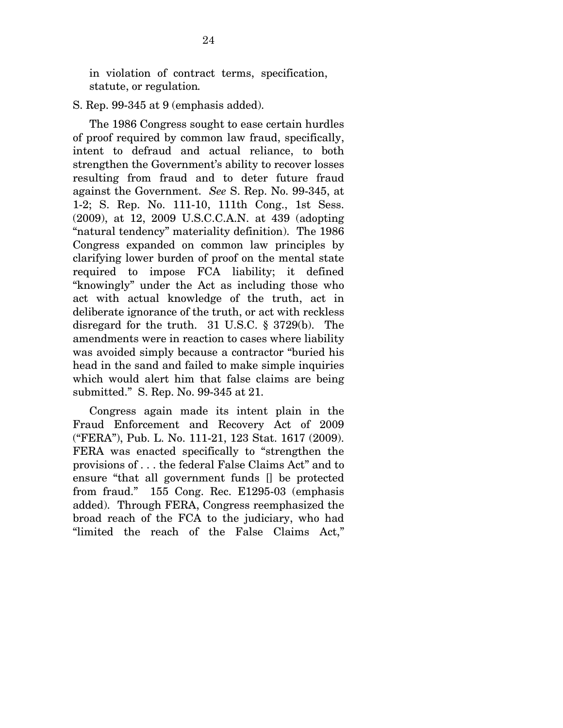in violation of contract terms, specification, statute, or regulation*.* 

S. Rep. 99-345 at 9 (emphasis added).

The 1986 Congress sought to ease certain hurdles of proof required by common law fraud, specifically, intent to defraud and actual reliance, to both strengthen the Government's ability to recover losses resulting from fraud and to deter future fraud against the Government. *See* S. Rep. No. 99-345, at 1-2; S. Rep. No. 111-10, 111th Cong., 1st Sess. (2009), at 12, 2009 U.S.C.C.A.N. at 439 (adopting "natural tendency" materiality definition). The 1986 Congress expanded on common law principles by clarifying lower burden of proof on the mental state required to impose FCA liability; it defined "knowingly" under the Act as including those who act with actual knowledge of the truth, act in deliberate ignorance of the truth, or act with reckless disregard for the truth. 31 U.S.C. § 3729(b). The amendments were in reaction to cases where liability was avoided simply because a contractor "buried his head in the sand and failed to make simple inquiries which would alert him that false claims are being submitted." S. Rep. No. 99-345 at 21.

Congress again made its intent plain in the Fraud Enforcement and Recovery Act of 2009 ("FERA"), Pub. L. No. 111-21, 123 Stat. 1617 (2009). FERA was enacted specifically to "strengthen the provisions of . . . the federal False Claims Act" and to ensure "that all government funds [] be protected from fraud." 155 Cong. Rec. E1295-03 (emphasis added). Through FERA, Congress reemphasized the broad reach of the FCA to the judiciary, who had "limited the reach of the False Claims Act,"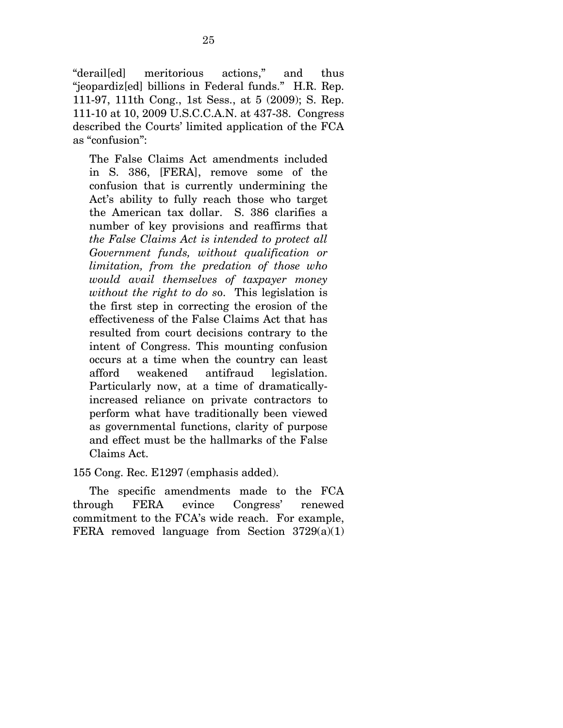"derail[ed] meritorious actions," and thus "jeopardiz[ed] billions in Federal funds." H.R. Rep. 111-97, 111th Cong., 1st Sess., at 5 (2009); S. Rep. 111-10 at 10, 2009 U.S.C.C.A.N. at 437-38. Congress described the Courts' limited application of the FCA as "confusion":

The False Claims Act amendments included in S. 386, [FERA], remove some of the confusion that is currently undermining the Act's ability to fully reach those who target the American tax dollar. S. 386 clarifies a number of key provisions and reaffirms that *the False Claims Act is intended to protect all Government funds, without qualification or limitation, from the predation of those who would avail themselves of taxpayer money without the right to do s*o. This legislation is the first step in correcting the erosion of the effectiveness of the False Claims Act that has resulted from court decisions contrary to the intent of Congress. This mounting confusion occurs at a time when the country can least afford weakened antifraud legislation. Particularly now, at a time of dramaticallyincreased reliance on private contractors to perform what have traditionally been viewed as governmental functions, clarity of purpose and effect must be the hallmarks of the False Claims Act.

155 Cong. Rec. E1297 (emphasis added).

The specific amendments made to the FCA through FERA evince Congress' renewed commitment to the FCA's wide reach. For example, FERA removed language from Section  $3729(a)(1)$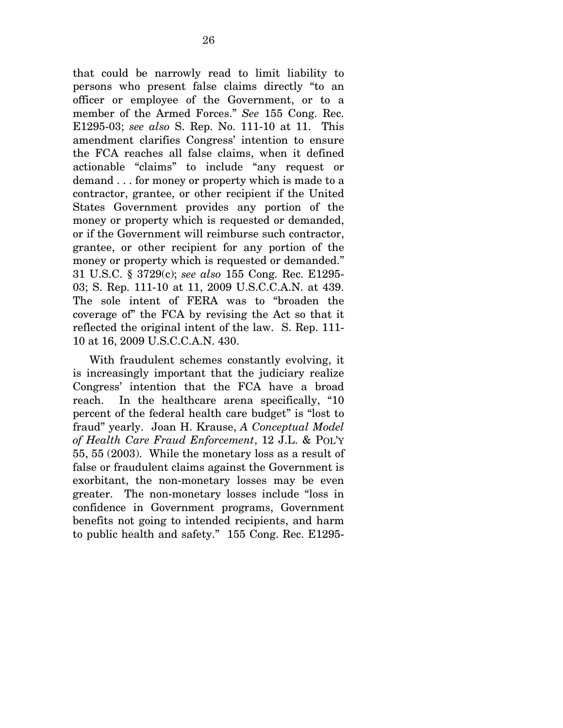that could be narrowly read to limit liability to persons who present false claims directly "to an officer or employee of the Government, or to a member of the Armed Forces." *See* 155 Cong. Rec. E1295-03; *see also* S. Rep. No. 111-10 at 11. This amendment clarifies Congress' intention to ensure the FCA reaches all false claims, when it defined actionable "claims" to include "any request or demand . . . for money or property which is made to a contractor, grantee, or other recipient if the United States Government provides any portion of the money or property which is requested or demanded, or if the Government will reimburse such contractor, grantee, or other recipient for any portion of the money or property which is requested or demanded." 31 U.S.C. § 3729(c); *see also* 155 Cong. Rec. E1295- 03; S. Rep. 111-10 at 11, 2009 U.S.C.C.A.N. at 439. The sole intent of FERA was to "broaden the coverage of" the FCA by revising the Act so that it reflected the original intent of the law. S. Rep. 111- 10 at 16, 2009 U.S.C.C.A.N. 430.

With fraudulent schemes constantly evolving, it is increasingly important that the judiciary realize Congress' intention that the FCA have a broad reach. In the healthcare arena specifically, "10 percent of the federal health care budget" is "lost to fraud" yearly. Joan H. Krause, *A Conceptual Model of Health Care Fraud Enforcement*, 12 J.L. & POL'Y 55, 55 (2003). While the monetary loss as a result of false or fraudulent claims against the Government is exorbitant, the non-monetary losses may be even greater. The non-monetary losses include "loss in confidence in Government programs, Government benefits not going to intended recipients, and harm to public health and safety." 155 Cong. Rec. E1295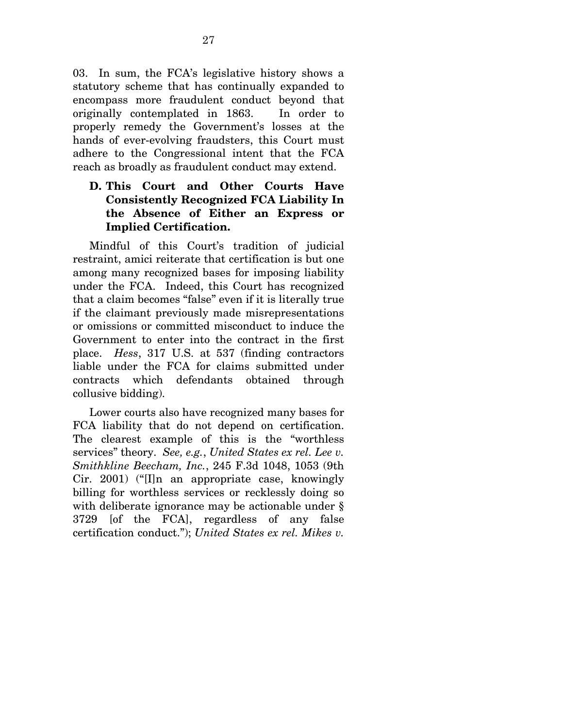03. In sum, the FCA's legislative history shows a statutory scheme that has continually expanded to encompass more fraudulent conduct beyond that originally contemplated in 1863. In order to properly remedy the Government's losses at the hands of ever-evolving fraudsters, this Court must adhere to the Congressional intent that the FCA reach as broadly as fraudulent conduct may extend.

## **D. This Court and Other Courts Have Consistently Recognized FCA Liability In the Absence of Either an Express or Implied Certification.**

Mindful of this Court's tradition of judicial restraint, amici reiterate that certification is but one among many recognized bases for imposing liability under the FCA. Indeed, this Court has recognized that a claim becomes "false" even if it is literally true if the claimant previously made misrepresentations or omissions or committed misconduct to induce the Government to enter into the contract in the first place. *Hess*, 317 U.S. at 537 (finding contractors liable under the FCA for claims submitted under contracts which defendants obtained through collusive bidding).

Lower courts also have recognized many bases for FCA liability that do not depend on certification. The clearest example of this is the "worthless services" theory. *See, e.g.*, *United States ex rel. Lee v. Smithkline Beecham, Inc.*, 245 F.3d 1048, 1053 (9th Cir. 2001) ("[I]n an appropriate case, knowingly billing for worthless services or recklessly doing so with deliberate ignorance may be actionable under § 3729 [of the FCA], regardless of any false certification conduct."); *United States ex rel. Mikes v.*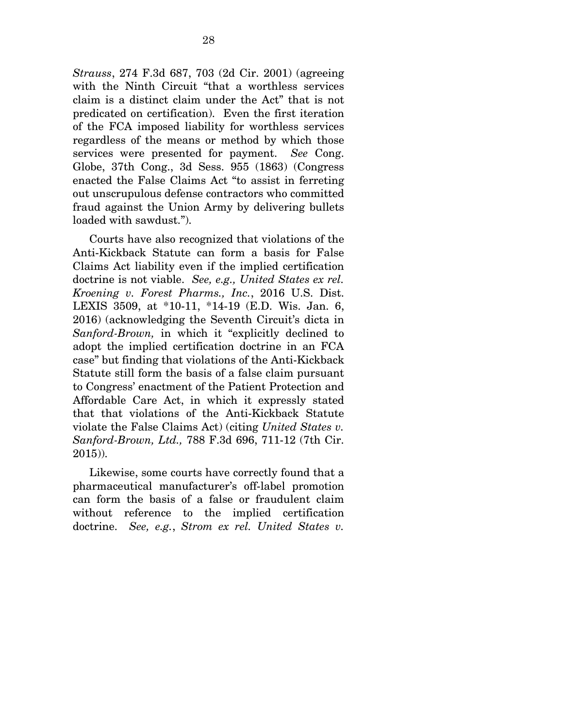*Strauss*, 274 F.3d 687, 703 (2d Cir. 2001) (agreeing with the Ninth Circuit "that a worthless services claim is a distinct claim under the Act" that is not predicated on certification). Even the first iteration of the FCA imposed liability for worthless services regardless of the means or method by which those services were presented for payment. *See* Cong. Globe, 37th Cong., 3d Sess. 955 (1863) (Congress enacted the False Claims Act "to assist in ferreting out unscrupulous defense contractors who committed fraud against the Union Army by delivering bullets loaded with sawdust.").

Courts have also recognized that violations of the Anti-Kickback Statute can form a basis for False Claims Act liability even if the implied certification doctrine is not viable. *See, e.g., United States ex rel. Kroening v. Forest Pharms., Inc.*, 2016 U.S. Dist. LEXIS 3509, at \*10-11, \*14-19 (E.D. Wis. Jan. 6, 2016) (acknowledging the Seventh Circuit's dicta in *Sanford-Brown,* in which it "explicitly declined to adopt the implied certification doctrine in an FCA case" but finding that violations of the Anti-Kickback Statute still form the basis of a false claim pursuant to Congress' enactment of the Patient Protection and Affordable Care Act, in which it expressly stated that that violations of the Anti-Kickback Statute violate the False Claims Act) (citing *United States v. Sanford-Brown, Ltd.,* 788 F.3d 696, 711-12 (7th Cir. 2015)).

Likewise, some courts have correctly found that a pharmaceutical manufacturer's off-label promotion can form the basis of a false or fraudulent claim without reference to the implied certification doctrine. *See, e.g.*, *Strom ex rel. United States v.*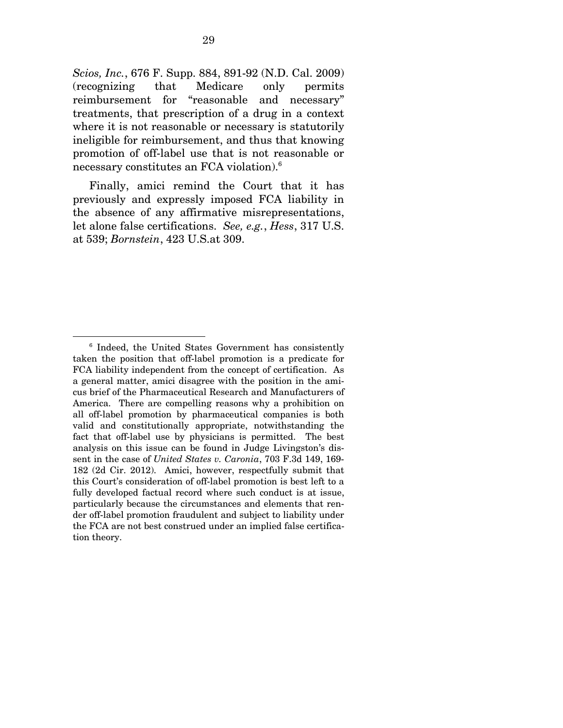*Scios, Inc.*, 676 F. Supp. 884, 891-92 (N.D. Cal. 2009) (recognizing that Medicare only permits reimbursement for "reasonable and necessary" treatments, that prescription of a drug in a context where it is not reasonable or necessary is statutorily ineligible for reimbursement, and thus that knowing promotion of off-label use that is not reasonable or necessary constitutes an FCA violation).6

Finally, amici remind the Court that it has previously and expressly imposed FCA liability in the absence of any affirmative misrepresentations, let alone false certifications. *See, e.g.*, *Hess*, 317 U.S. at 539; *Bornstein*, 423 U.S.at 309.

<sup>6</sup> Indeed, the United States Government has consistently taken the position that off-label promotion is a predicate for FCA liability independent from the concept of certification. As a general matter, amici disagree with the position in the amicus brief of the Pharmaceutical Research and Manufacturers of America. There are compelling reasons why a prohibition on all off-label promotion by pharmaceutical companies is both valid and constitutionally appropriate, notwithstanding the fact that off-label use by physicians is permitted. The best analysis on this issue can be found in Judge Livingston's dissent in the case of *United States v. Caronia*, 703 F.3d 149, 169- 182 (2d Cir. 2012). Amici, however, respectfully submit that this Court's consideration of off-label promotion is best left to a fully developed factual record where such conduct is at issue, particularly because the circumstances and elements that render off-label promotion fraudulent and subject to liability under the FCA are not best construed under an implied false certification theory.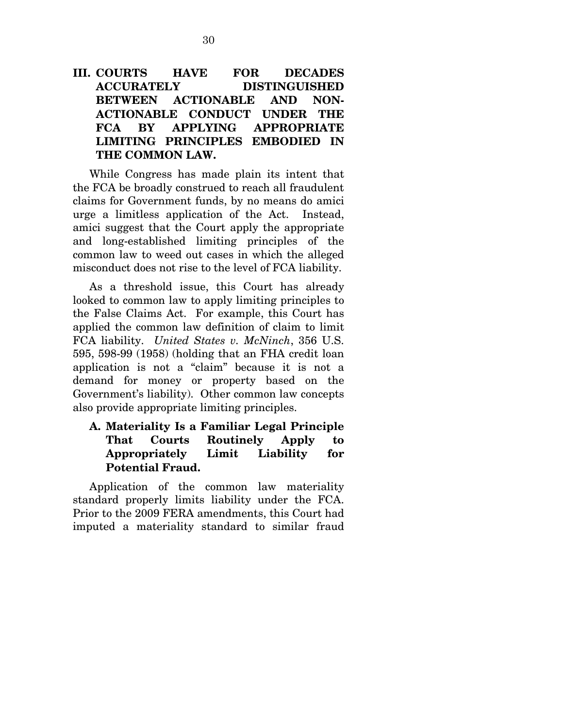## **III. COURTS HAVE FOR DECADES ACCURATELY DISTINGUISHED BETWEEN ACTIONABLE AND NON-ACTIONABLE CONDUCT UNDER THE FCA BY APPLYING APPROPRIATE LIMITING PRINCIPLES EMBODIED IN THE COMMON LAW.**

While Congress has made plain its intent that the FCA be broadly construed to reach all fraudulent claims for Government funds, by no means do amici urge a limitless application of the Act. Instead, amici suggest that the Court apply the appropriate and long-established limiting principles of the common law to weed out cases in which the alleged misconduct does not rise to the level of FCA liability.

As a threshold issue, this Court has already looked to common law to apply limiting principles to the False Claims Act. For example, this Court has applied the common law definition of claim to limit FCA liability. *United States v. McNinch*, 356 U.S. 595, 598-99 (1958) (holding that an FHA credit loan application is not a "claim" because it is not a demand for money or property based on the Government's liability). Other common law concepts also provide appropriate limiting principles.

### **A. Materiality Is a Familiar Legal Principle That Courts Routinely Apply to Appropriately Limit Liability for Potential Fraud.**

Application of the common law materiality standard properly limits liability under the FCA. Prior to the 2009 FERA amendments, this Court had imputed a materiality standard to similar fraud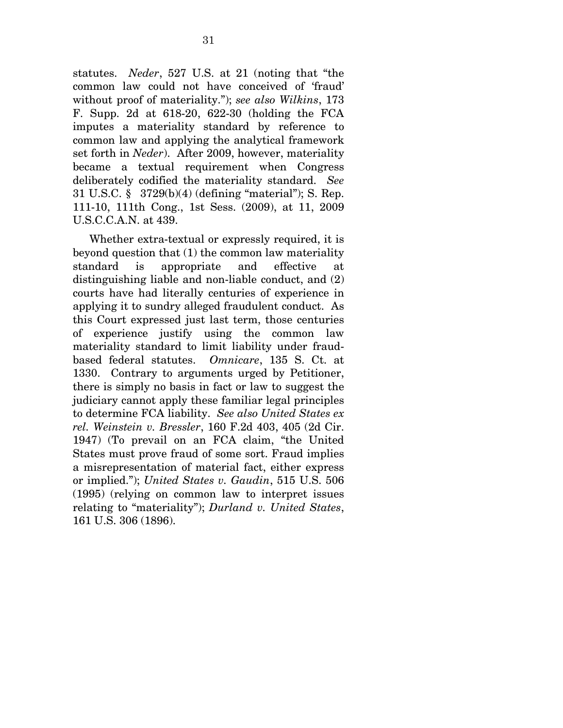statutes. *Neder*, 527 U.S. at 21 (noting that "the common law could not have conceived of 'fraud' without proof of materiality."); *see also Wilkins*, 173 F. Supp. 2d at 618-20, 622-30 (holding the FCA imputes a materiality standard by reference to common law and applying the analytical framework set forth in *Neder*). After 2009, however, materiality became a textual requirement when Congress deliberately codified the materiality standard. *See*  31 U.S.C. § 3729(b)(4) (defining "material"); S. Rep. 111-10, 111th Cong., 1st Sess. (2009), at 11, 2009 U.S.C.C.A.N. at 439.

Whether extra-textual or expressly required, it is beyond question that (1) the common law materiality standard is appropriate and effective at distinguishing liable and non-liable conduct, and (2) courts have had literally centuries of experience in applying it to sundry alleged fraudulent conduct. As this Court expressed just last term, those centuries of experience justify using the common law materiality standard to limit liability under fraudbased federal statutes. *Omnicare*, 135 S. Ct. at 1330. Contrary to arguments urged by Petitioner, there is simply no basis in fact or law to suggest the judiciary cannot apply these familiar legal principles to determine FCA liability. *See also United States ex rel. Weinstein v. Bressler*, 160 F.2d 403, 405 (2d Cir. 1947) (To prevail on an FCA claim, "the United States must prove fraud of some sort. Fraud implies a misrepresentation of material fact, either express or implied."); *United States v. Gaudin*, 515 U.S. 506 (1995) (relying on common law to interpret issues relating to "materiality"); *Durland v. United States*, 161 U.S. 306 (1896).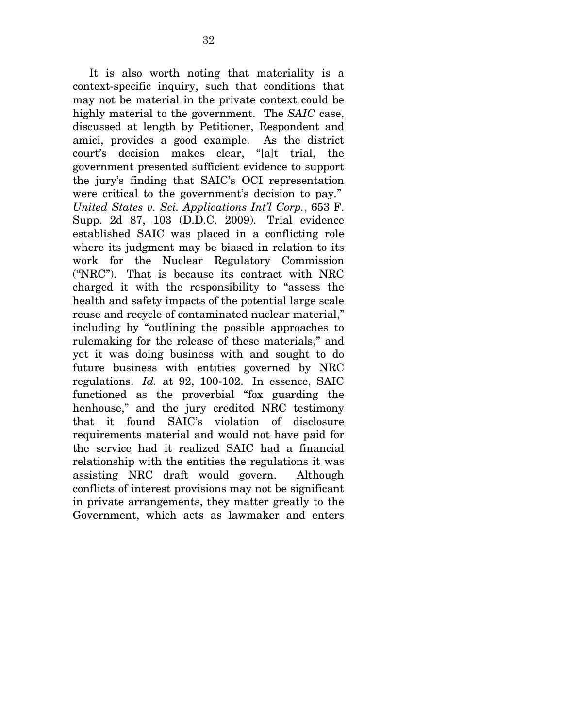It is also worth noting that materiality is a context-specific inquiry, such that conditions that may not be material in the private context could be highly material to the government. The *SAIC* case, discussed at length by Petitioner, Respondent and amici, provides a good example. As the district court's decision makes clear, "[a]t trial, the government presented sufficient evidence to support the jury's finding that SAIC's OCI representation were critical to the government's decision to pay." *United States v. Sci. Applications Int'l Corp.*, 653 F. Supp. 2d 87, 103 (D.D.C. 2009). Trial evidence established SAIC was placed in a conflicting role where its judgment may be biased in relation to its work for the Nuclear Regulatory Commission ("NRC"). That is because its contract with NRC charged it with the responsibility to "assess the health and safety impacts of the potential large scale reuse and recycle of contaminated nuclear material," including by "outlining the possible approaches to rulemaking for the release of these materials," and yet it was doing business with and sought to do future business with entities governed by NRC regulations. *Id.* at 92, 100-102. In essence, SAIC functioned as the proverbial "fox guarding the henhouse," and the jury credited NRC testimony that it found SAIC's violation of disclosure requirements material and would not have paid for the service had it realized SAIC had a financial relationship with the entities the regulations it was assisting NRC draft would govern. Although conflicts of interest provisions may not be significant in private arrangements, they matter greatly to the Government, which acts as lawmaker and enters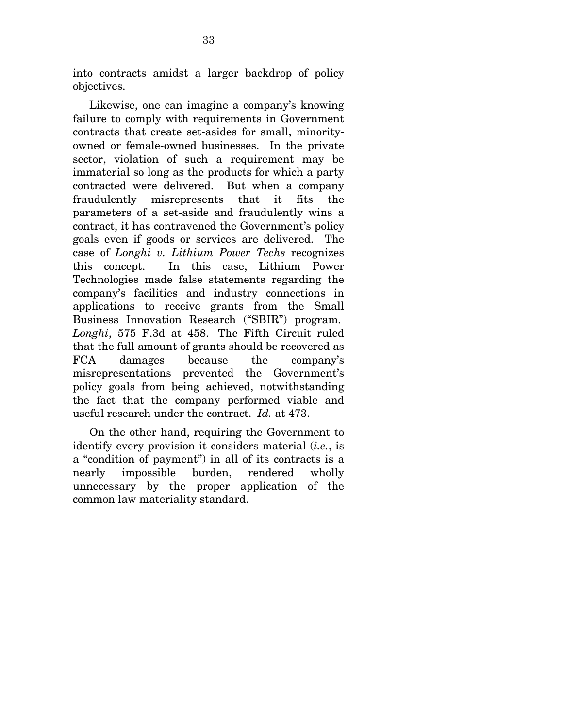into contracts amidst a larger backdrop of policy objectives.

Likewise, one can imagine a company's knowing failure to comply with requirements in Government contracts that create set-asides for small, minorityowned or female-owned businesses. In the private sector, violation of such a requirement may be immaterial so long as the products for which a party contracted were delivered. But when a company fraudulently misrepresents that it fits the parameters of a set-aside and fraudulently wins a contract, it has contravened the Government's policy goals even if goods or services are delivered. The case of *Longhi v. Lithium Power Techs* recognizes this concept. In this case, Lithium Power Technologies made false statements regarding the company's facilities and industry connections in applications to receive grants from the Small Business Innovation Research ("SBIR") program. *Longhi*, 575 F.3d at 458. The Fifth Circuit ruled that the full amount of grants should be recovered as FCA damages because the company's misrepresentations prevented the Government's policy goals from being achieved, notwithstanding the fact that the company performed viable and useful research under the contract. *Id.* at 473.

On the other hand, requiring the Government to identify every provision it considers material (*i.e.*, is a "condition of payment") in all of its contracts is a nearly impossible burden, rendered wholly unnecessary by the proper application of the common law materiality standard.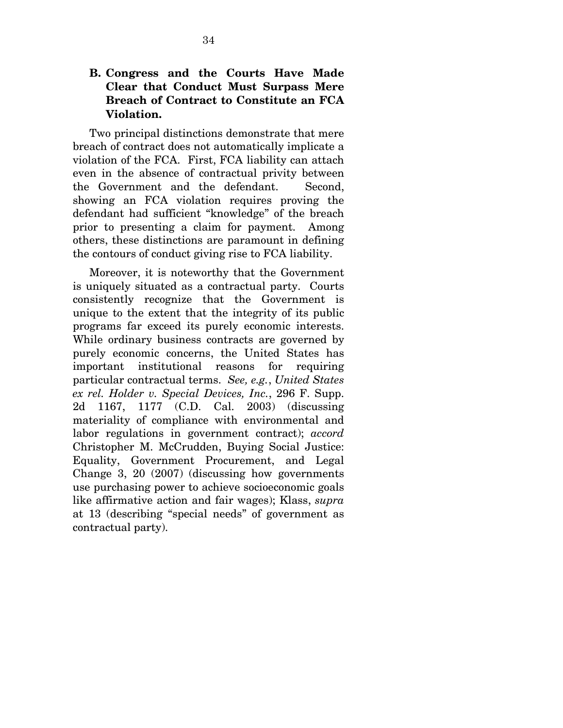### **B. Congress and the Courts Have Made Clear that Conduct Must Surpass Mere Breach of Contract to Constitute an FCA Violation.**

Two principal distinctions demonstrate that mere breach of contract does not automatically implicate a violation of the FCA. First, FCA liability can attach even in the absence of contractual privity between the Government and the defendant. Second, showing an FCA violation requires proving the defendant had sufficient "knowledge" of the breach prior to presenting a claim for payment. Among others, these distinctions are paramount in defining the contours of conduct giving rise to FCA liability.

Moreover, it is noteworthy that the Government is uniquely situated as a contractual party. Courts consistently recognize that the Government is unique to the extent that the integrity of its public programs far exceed its purely economic interests. While ordinary business contracts are governed by purely economic concerns, the United States has important institutional reasons for requiring particular contractual terms. *See, e.g.*, *United States ex rel. Holder v. Special Devices, Inc.*, 296 F. Supp. 2d 1167, 1177 (C.D. Cal. 2003) (discussing materiality of compliance with environmental and labor regulations in government contract); *accord* Christopher M. McCrudden, Buying Social Justice: Equality, Government Procurement, and Legal Change 3, 20 (2007) (discussing how governments use purchasing power to achieve socioeconomic goals like affirmative action and fair wages); Klass, *supra* at 13 (describing "special needs" of government as contractual party).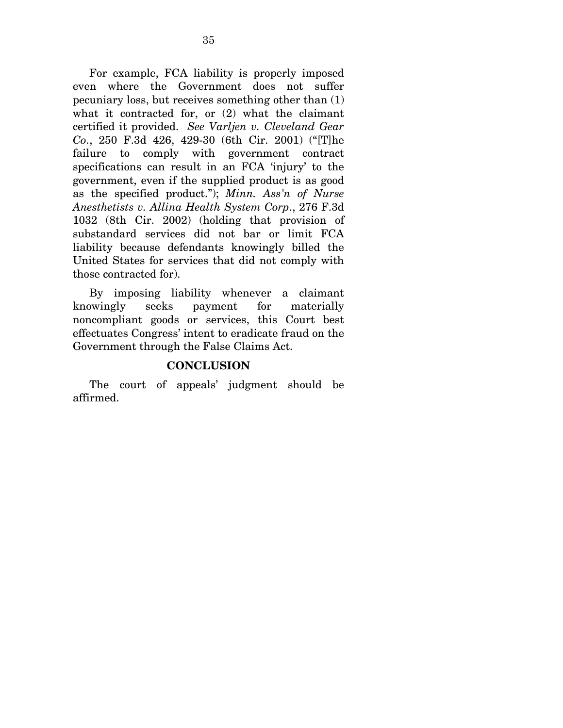For example, FCA liability is properly imposed even where the Government does not suffer pecuniary loss, but receives something other than (1) what it contracted for, or (2) what the claimant certified it provided. *See Varljen v. Cleveland Gear Co*., 250 F.3d 426, 429-30 (6th Cir. 2001) ("[T]he failure to comply with government contract specifications can result in an FCA 'injury' to the government, even if the supplied product is as good as the specified product."); *Minn. Ass'n of Nurse Anesthetists v. Allina Health System Corp*., 276 F.3d 1032 (8th Cir. 2002) (holding that provision of substandard services did not bar or limit FCA liability because defendants knowingly billed the United States for services that did not comply with those contracted for).

By imposing liability whenever a claimant knowingly seeks payment for materially noncompliant goods or services, this Court best effectuates Congress' intent to eradicate fraud on the Government through the False Claims Act.

#### **CONCLUSION**

The court of appeals' judgment should be affirmed.